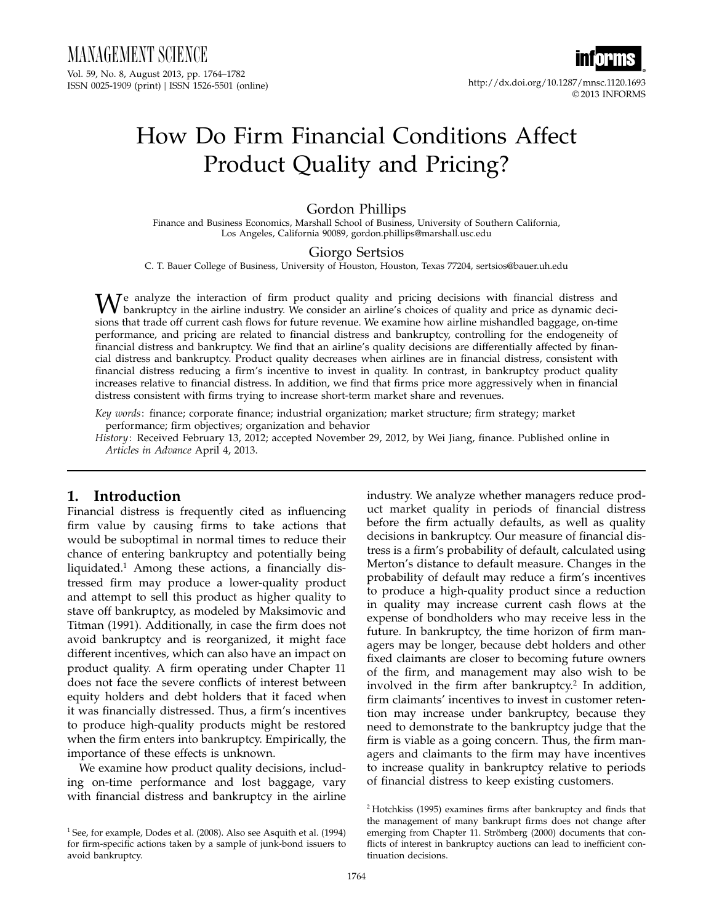MANAGEMENT SCIENCE

Vol. 59, No. 8, August 2013, pp. 1764–1782 ISSN 0025-1909 (print) ISSN 1526-5501 (online) http://dx.doi.org/10.1287/mnsc.1120.1693



# How Do Firm Financial Conditions Affect Product Quality and Pricing?

## Gordon Phillips

Finance and Business Economics, Marshall School of Business, University of Southern California, Los Angeles, California 90089, gordon.phillips@marshall.usc.edu

#### Giorgo Sertsios

C. T. Bauer College of Business, University of Houston, Houston, Texas 77204, sertsios@bauer.uh.edu

 $\mathbf{W}$  e analyze the interaction of firm product quality and pricing decisions with financial distress and bankruptcy in the airline industry. We consider an airline's choices of quality and price as dynamic deci-<br>inter sions that trade off current cash flows for future revenue. We examine how airline mishandled baggage, on-time performance, and pricing are related to financial distress and bankruptcy, controlling for the endogeneity of financial distress and bankruptcy. We find that an airline's quality decisions are differentially affected by financial distress and bankruptcy. Product quality decreases when airlines are in financial distress, consistent with financial distress reducing a firm's incentive to invest in quality. In contrast, in bankruptcy product quality increases relative to financial distress. In addition, we find that firms price more aggressively when in financial distress consistent with firms trying to increase short-term market share and revenues.

Key words: finance; corporate finance; industrial organization; market structure; firm strategy; market performance; firm objectives; organization and behavior

History: Received February 13, 2012; accepted November 29, 2012, by Wei Jiang, finance. Published online in Articles in Advance April 4, 2013.

## 1. Introduction

Financial distress is frequently cited as influencing firm value by causing firms to take actions that would be suboptimal in normal times to reduce their chance of entering bankruptcy and potentially being liquidated.<sup>1</sup> Among these actions, a financially distressed firm may produce a lower-quality product and attempt to sell this product as higher quality to stave off bankruptcy, as modeled by Maksimovic and Titman (1991). Additionally, in case the firm does not avoid bankruptcy and is reorganized, it might face different incentives, which can also have an impact on product quality. A firm operating under Chapter 11 does not face the severe conflicts of interest between equity holders and debt holders that it faced when it was financially distressed. Thus, a firm's incentives to produce high-quality products might be restored when the firm enters into bankruptcy. Empirically, the importance of these effects is unknown.

We examine how product quality decisions, including on-time performance and lost baggage, vary with financial distress and bankruptcy in the airline industry. We analyze whether managers reduce product market quality in periods of financial distress before the firm actually defaults, as well as quality decisions in bankruptcy. Our measure of financial distress is a firm's probability of default, calculated using Merton's distance to default measure. Changes in the probability of default may reduce a firm's incentives to produce a high-quality product since a reduction in quality may increase current cash flows at the expense of bondholders who may receive less in the future. In bankruptcy, the time horizon of firm managers may be longer, because debt holders and other fixed claimants are closer to becoming future owners of the firm, and management may also wish to be involved in the firm after bankruptcy.<sup>2</sup> In addition, firm claimants' incentives to invest in customer retention may increase under bankruptcy, because they need to demonstrate to the bankruptcy judge that the firm is viable as a going concern. Thus, the firm managers and claimants to the firm may have incentives to increase quality in bankruptcy relative to periods of financial distress to keep existing customers.

<sup>&</sup>lt;sup>1</sup> See, for example, Dodes et al. (2008). Also see Asquith et al. (1994) for firm-specific actions taken by a sample of junk-bond issuers to avoid bankruptcy.

<sup>2</sup> Hotchkiss (1995) examines firms after bankruptcy and finds that the management of many bankrupt firms does not change after emerging from Chapter 11. Strömberg (2000) documents that conflicts of interest in bankruptcy auctions can lead to inefficient continuation decisions.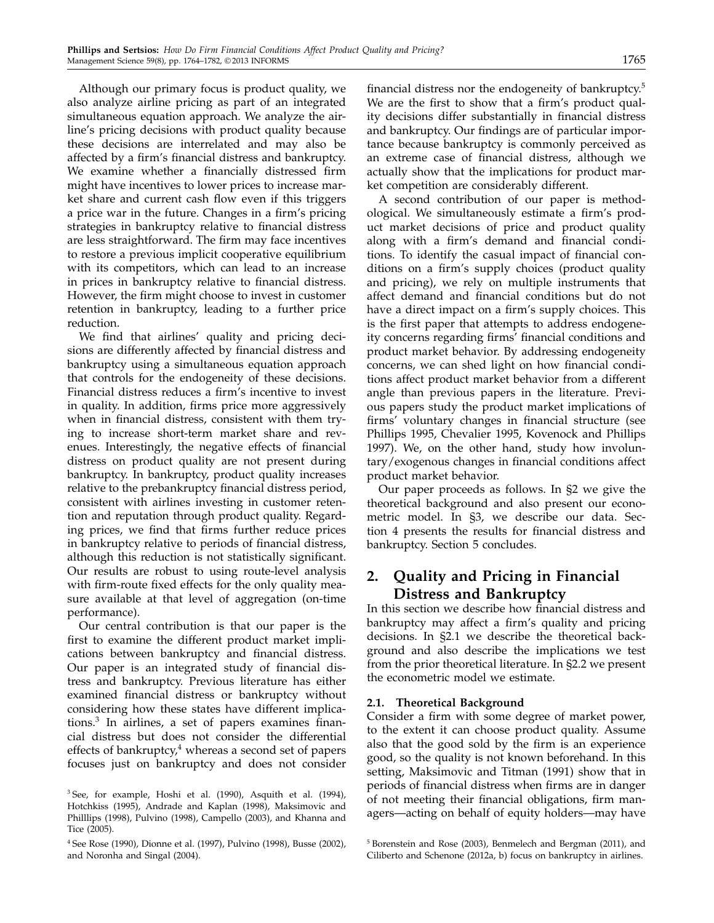Although our primary focus is product quality, we also analyze airline pricing as part of an integrated simultaneous equation approach. We analyze the airline's pricing decisions with product quality because these decisions are interrelated and may also be affected by a firm's financial distress and bankruptcy. We examine whether a financially distressed firm might have incentives to lower prices to increase market share and current cash flow even if this triggers a price war in the future. Changes in a firm's pricing strategies in bankruptcy relative to financial distress are less straightforward. The firm may face incentives to restore a previous implicit cooperative equilibrium with its competitors, which can lead to an increase in prices in bankruptcy relative to financial distress. However, the firm might choose to invest in customer retention in bankruptcy, leading to a further price reduction.

We find that airlines' quality and pricing decisions are differently affected by financial distress and bankruptcy using a simultaneous equation approach that controls for the endogeneity of these decisions. Financial distress reduces a firm's incentive to invest in quality. In addition, firms price more aggressively when in financial distress, consistent with them trying to increase short-term market share and revenues. Interestingly, the negative effects of financial distress on product quality are not present during bankruptcy. In bankruptcy, product quality increases relative to the prebankruptcy financial distress period, consistent with airlines investing in customer retention and reputation through product quality. Regarding prices, we find that firms further reduce prices in bankruptcy relative to periods of financial distress, although this reduction is not statistically significant. Our results are robust to using route-level analysis with firm-route fixed effects for the only quality measure available at that level of aggregation (on-time performance).

Our central contribution is that our paper is the first to examine the different product market implications between bankruptcy and financial distress. Our paper is an integrated study of financial distress and bankruptcy. Previous literature has either examined financial distress or bankruptcy without considering how these states have different implications.<sup>3</sup> In airlines, a set of papers examines financial distress but does not consider the differential effects of bankruptcy, $4$  whereas a second set of papers focuses just on bankruptcy and does not consider financial distress nor the endogeneity of bankruptcy.<sup>5</sup> We are the first to show that a firm's product quality decisions differ substantially in financial distress and bankruptcy. Our findings are of particular importance because bankruptcy is commonly perceived as an extreme case of financial distress, although we actually show that the implications for product market competition are considerably different.

A second contribution of our paper is methodological. We simultaneously estimate a firm's product market decisions of price and product quality along with a firm's demand and financial conditions. To identify the casual impact of financial conditions on a firm's supply choices (product quality and pricing), we rely on multiple instruments that affect demand and financial conditions but do not have a direct impact on a firm's supply choices. This is the first paper that attempts to address endogeneity concerns regarding firms' financial conditions and product market behavior. By addressing endogeneity concerns, we can shed light on how financial conditions affect product market behavior from a different angle than previous papers in the literature. Previous papers study the product market implications of firms' voluntary changes in financial structure (see Phillips 1995, Chevalier 1995, Kovenock and Phillips 1997). We, on the other hand, study how involuntary/exogenous changes in financial conditions affect product market behavior.

Our paper proceeds as follows. In §2 we give the theoretical background and also present our econometric model. In §3, we describe our data. Section 4 presents the results for financial distress and bankruptcy. Section 5 concludes.

# 2. Quality and Pricing in Financial Distress and Bankruptcy

In this section we describe how financial distress and bankruptcy may affect a firm's quality and pricing decisions. In §2.1 we describe the theoretical background and also describe the implications we test from the prior theoretical literature. In §2.2 we present the econometric model we estimate.

## 2.1. Theoretical Background

Consider a firm with some degree of market power, to the extent it can choose product quality. Assume also that the good sold by the firm is an experience good, so the quality is not known beforehand. In this setting, Maksimovic and Titman (1991) show that in periods of financial distress when firms are in danger of not meeting their financial obligations, firm managers—acting on behalf of equity holders—may have

<sup>3</sup> See, for example, Hoshi et al. (1990), Asquith et al. (1994), Hotchkiss (1995), Andrade and Kaplan (1998), Maksimovic and Philllips (1998), Pulvino (1998), Campello (2003), and Khanna and Tice (2005).

<sup>4</sup> See Rose (1990), Dionne et al. (1997), Pulvino (1998), Busse (2002), and Noronha and Singal (2004).

<sup>5</sup> Borenstein and Rose (2003), Benmelech and Bergman (2011), and Ciliberto and Schenone (2012a, b) focus on bankruptcy in airlines.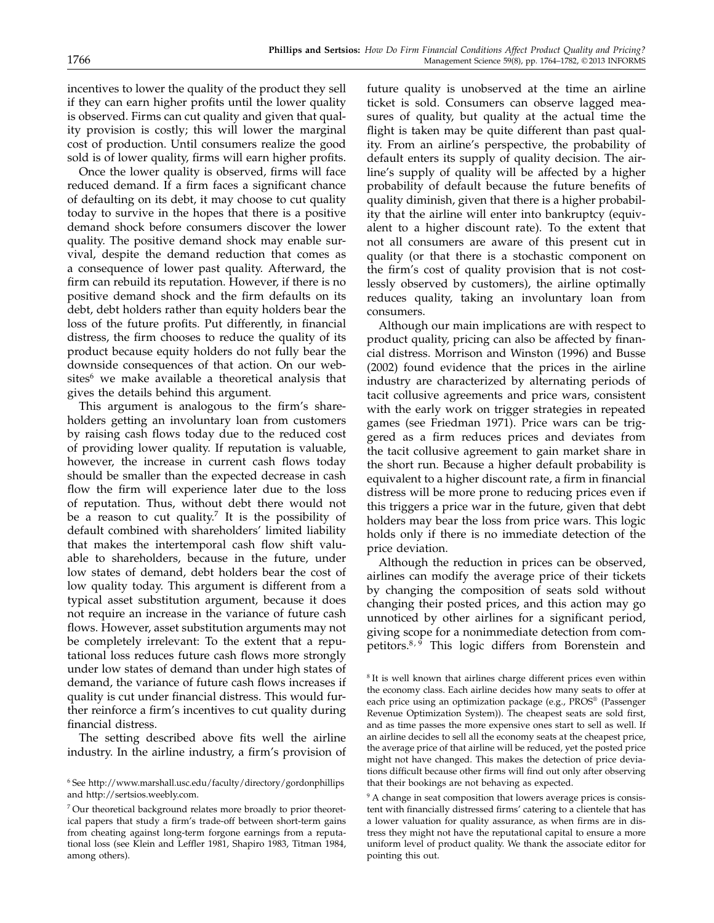incentives to lower the quality of the product they sell if they can earn higher profits until the lower quality is observed. Firms can cut quality and given that quality provision is costly; this will lower the marginal cost of production. Until consumers realize the good sold is of lower quality, firms will earn higher profits.

Once the lower quality is observed, firms will face reduced demand. If a firm faces a significant chance of defaulting on its debt, it may choose to cut quality today to survive in the hopes that there is a positive demand shock before consumers discover the lower quality. The positive demand shock may enable survival, despite the demand reduction that comes as a consequence of lower past quality. Afterward, the firm can rebuild its reputation. However, if there is no positive demand shock and the firm defaults on its debt, debt holders rather than equity holders bear the loss of the future profits. Put differently, in financial distress, the firm chooses to reduce the quality of its product because equity holders do not fully bear the downside consequences of that action. On our websites $<sup>6</sup>$  we make available a theoretical analysis that</sup> gives the details behind this argument.

This argument is analogous to the firm's shareholders getting an involuntary loan from customers by raising cash flows today due to the reduced cost of providing lower quality. If reputation is valuable, however, the increase in current cash flows today should be smaller than the expected decrease in cash flow the firm will experience later due to the loss of reputation. Thus, without debt there would not be a reason to cut quality.<sup>7</sup> It is the possibility of default combined with shareholders' limited liability that makes the intertemporal cash flow shift valuable to shareholders, because in the future, under low states of demand, debt holders bear the cost of low quality today. This argument is different from a typical asset substitution argument, because it does not require an increase in the variance of future cash flows. However, asset substitution arguments may not be completely irrelevant: To the extent that a reputational loss reduces future cash flows more strongly under low states of demand than under high states of demand, the variance of future cash flows increases if quality is cut under financial distress. This would further reinforce a firm's incentives to cut quality during financial distress.

The setting described above fits well the airline industry. In the airline industry, a firm's provision of future quality is unobserved at the time an airline ticket is sold. Consumers can observe lagged measures of quality, but quality at the actual time the flight is taken may be quite different than past quality. From an airline's perspective, the probability of default enters its supply of quality decision. The airline's supply of quality will be affected by a higher probability of default because the future benefits of quality diminish, given that there is a higher probability that the airline will enter into bankruptcy (equivalent to a higher discount rate). To the extent that not all consumers are aware of this present cut in quality (or that there is a stochastic component on the firm's cost of quality provision that is not costlessly observed by customers), the airline optimally reduces quality, taking an involuntary loan from consumers.

Although our main implications are with respect to product quality, pricing can also be affected by financial distress. Morrison and Winston (1996) and Busse (2002) found evidence that the prices in the airline industry are characterized by alternating periods of tacit collusive agreements and price wars, consistent with the early work on trigger strategies in repeated games (see Friedman 1971). Price wars can be triggered as a firm reduces prices and deviates from the tacit collusive agreement to gain market share in the short run. Because a higher default probability is equivalent to a higher discount rate, a firm in financial distress will be more prone to reducing prices even if this triggers a price war in the future, given that debt holders may bear the loss from price wars. This logic holds only if there is no immediate detection of the price deviation.

Although the reduction in prices can be observed, airlines can modify the average price of their tickets by changing the composition of seats sold without changing their posted prices, and this action may go unnoticed by other airlines for a significant period, giving scope for a nonimmediate detection from competitors. $8, \overline{9}$  This logic differs from Borenstein and

<sup>6</sup> See http://www.marshall.usc.edu/faculty/directory/gordonphillips and http://sertsios.weebly.com.

<sup>7</sup> Our theoretical background relates more broadly to prior theoretical papers that study a firm's trade-off between short-term gains from cheating against long-term forgone earnings from a reputational loss (see Klein and Leffler 1981, Shapiro 1983, Titman 1984, among others).

<sup>&</sup>lt;sup>8</sup> It is well known that airlines charge different prices even within the economy class. Each airline decides how many seats to offer at each price using an optimization package (e.g., PROS® (Passenger Revenue Optimization System)). The cheapest seats are sold first, and as time passes the more expensive ones start to sell as well. If an airline decides to sell all the economy seats at the cheapest price, the average price of that airline will be reduced, yet the posted price might not have changed. This makes the detection of price deviations difficult because other firms will find out only after observing that their bookings are not behaving as expected.

<sup>&</sup>lt;sup>9</sup> A change in seat composition that lowers average prices is consistent with financially distressed firms' catering to a clientele that has a lower valuation for quality assurance, as when firms are in distress they might not have the reputational capital to ensure a more uniform level of product quality. We thank the associate editor for pointing this out.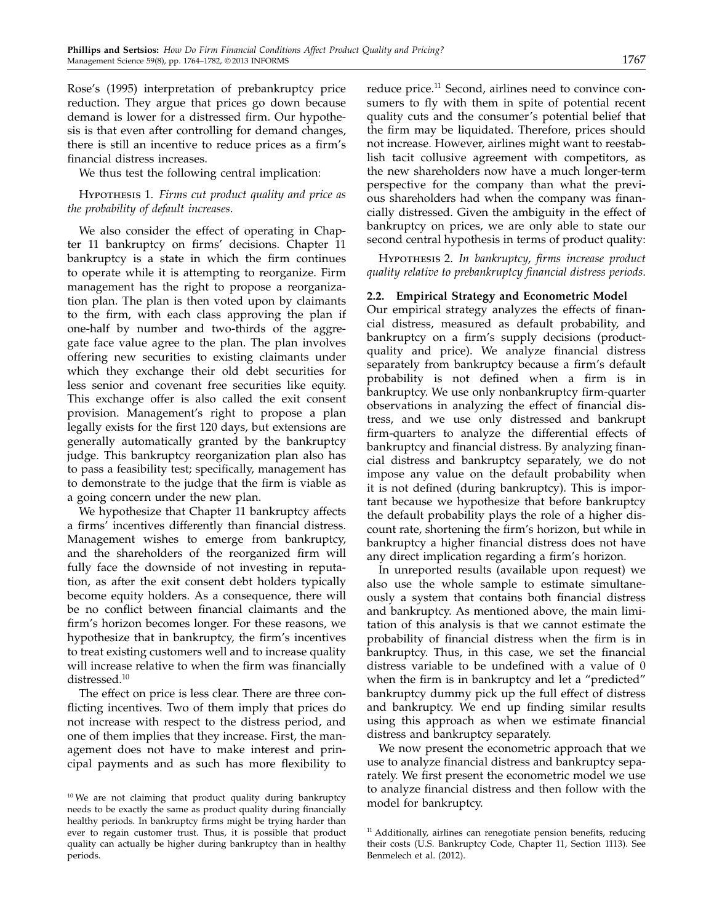Rose's (1995) interpretation of prebankruptcy price reduction. They argue that prices go down because demand is lower for a distressed firm. Our hypothesis is that even after controlling for demand changes, there is still an incentive to reduce prices as a firm's financial distress increases.

We thus test the following central implication:

#### Hypothesis 1. Firms cut product quality and price as the probability of default increases.

We also consider the effect of operating in Chapter 11 bankruptcy on firms' decisions. Chapter 11 bankruptcy is a state in which the firm continues to operate while it is attempting to reorganize. Firm management has the right to propose a reorganization plan. The plan is then voted upon by claimants to the firm, with each class approving the plan if one-half by number and two-thirds of the aggregate face value agree to the plan. The plan involves offering new securities to existing claimants under which they exchange their old debt securities for less senior and covenant free securities like equity. This exchange offer is also called the exit consent provision. Management's right to propose a plan legally exists for the first 120 days, but extensions are generally automatically granted by the bankruptcy judge. This bankruptcy reorganization plan also has to pass a feasibility test; specifically, management has to demonstrate to the judge that the firm is viable as a going concern under the new plan.

We hypothesize that Chapter 11 bankruptcy affects a firms' incentives differently than financial distress. Management wishes to emerge from bankruptcy, and the shareholders of the reorganized firm will fully face the downside of not investing in reputation, as after the exit consent debt holders typically become equity holders. As a consequence, there will be no conflict between financial claimants and the firm's horizon becomes longer. For these reasons, we hypothesize that in bankruptcy, the firm's incentives to treat existing customers well and to increase quality will increase relative to when the firm was financially distressed.<sup>10</sup>

The effect on price is less clear. There are three conflicting incentives. Two of them imply that prices do not increase with respect to the distress period, and one of them implies that they increase. First, the management does not have to make interest and principal payments and as such has more flexibility to

reduce price.<sup>11</sup> Second, airlines need to convince consumers to fly with them in spite of potential recent quality cuts and the consumer's potential belief that the firm may be liquidated. Therefore, prices should not increase. However, airlines might want to reestablish tacit collusive agreement with competitors, as the new shareholders now have a much longer-term perspective for the company than what the previous shareholders had when the company was financially distressed. Given the ambiguity in the effect of bankruptcy on prices, we are only able to state our second central hypothesis in terms of product quality:

Hypothesis 2. In bankruptcy, firms increase product quality relative to prebankruptcy financial distress periods.

## 2.2. Empirical Strategy and Econometric Model

Our empirical strategy analyzes the effects of financial distress, measured as default probability, and bankruptcy on a firm's supply decisions (productquality and price). We analyze financial distress separately from bankruptcy because a firm's default probability is not defined when a firm is in bankruptcy. We use only nonbankruptcy firm-quarter observations in analyzing the effect of financial distress, and we use only distressed and bankrupt firm-quarters to analyze the differential effects of bankruptcy and financial distress. By analyzing financial distress and bankruptcy separately, we do not impose any value on the default probability when it is not defined (during bankruptcy). This is important because we hypothesize that before bankruptcy the default probability plays the role of a higher discount rate, shortening the firm's horizon, but while in bankruptcy a higher financial distress does not have any direct implication regarding a firm's horizon.

In unreported results (available upon request) we also use the whole sample to estimate simultaneously a system that contains both financial distress and bankruptcy. As mentioned above, the main limitation of this analysis is that we cannot estimate the probability of financial distress when the firm is in bankruptcy. Thus, in this case, we set the financial distress variable to be undefined with a value of 0 when the firm is in bankruptcy and let a "predicted" bankruptcy dummy pick up the full effect of distress and bankruptcy. We end up finding similar results using this approach as when we estimate financial distress and bankruptcy separately.

We now present the econometric approach that we use to analyze financial distress and bankruptcy separately. We first present the econometric model we use to analyze financial distress and then follow with the model for bankruptcy.

<sup>&</sup>lt;sup>10</sup> We are not claiming that product quality during bankruptcy needs to be exactly the same as product quality during financially healthy periods. In bankruptcy firms might be trying harder than ever to regain customer trust. Thus, it is possible that product quality can actually be higher during bankruptcy than in healthy periods.

<sup>&</sup>lt;sup>11</sup> Additionally, airlines can renegotiate pension benefits, reducing their costs (U.S. Bankruptcy Code, Chapter 11, Section 1113). See Benmelech et al. (2012).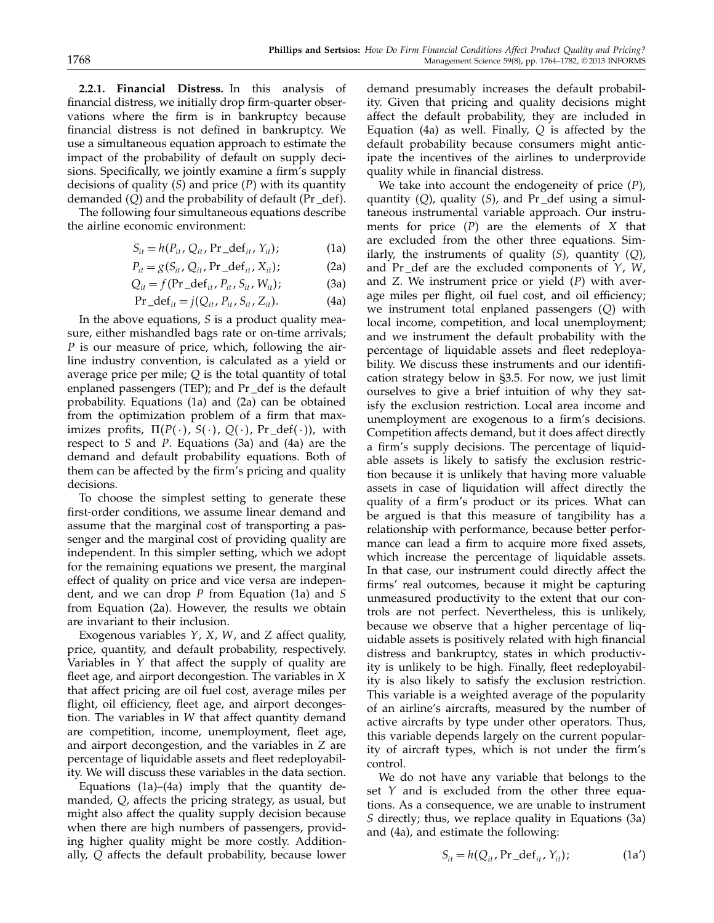2.2.1. Financial Distress. In this analysis of financial distress, we initially drop firm-quarter observations where the firm is in bankruptcy because financial distress is not defined in bankruptcy. We use a simultaneous equation approach to estimate the impact of the probability of default on supply decisions. Specifically, we jointly examine a firm's supply decisions of quality  $(S)$  and price  $(P)$  with its quantity demanded  $(Q)$  and the probability of default (Pr\_def).

The following four simultaneous equations describe the airline economic environment:

$$
S_{it} = h(P_{it}, Q_{it}, \text{Pr\_def}_{it}, Y_{it}); \qquad (1a)
$$

$$
P_{it} = g(S_{it}, Q_{it}, \text{Pr\_def}_{it}, X_{it}); \tag{2a}
$$

$$
Q_{it} = f(\Pr \_\text{def}_{it}, P_{it}, S_{it}, W_{it}); \tag{3a}
$$

$$
Pr\_def_{it} = j(Q_{it}, P_{it}, S_{it}, Z_{it}).
$$
 (4a)

In the above equations,  $S$  is a product quality measure, either mishandled bags rate or on-time arrivals; P is our measure of price, which, following the airline industry convention, is calculated as a yield or average price per mile;  $Q$  is the total quantity of total enplaned passengers (TEP); and Pr \_def is the default probability. Equations (1a) and (2a) can be obtained from the optimization problem of a firm that maximizes profits,  $\Pi(P(\cdot), S(\cdot), Q(\cdot), Pr\_def(\cdot))$ , with respect to  $S$  and  $P$ . Equations (3a) and (4a) are the demand and default probability equations. Both of them can be affected by the firm's pricing and quality decisions.

To choose the simplest setting to generate these first-order conditions, we assume linear demand and assume that the marginal cost of transporting a passenger and the marginal cost of providing quality are independent. In this simpler setting, which we adopt for the remaining equations we present, the marginal effect of quality on price and vice versa are independent, and we can drop  $P$  from Equation (1a) and  $S$ from Equation (2a). However, the results we obtain are invariant to their inclusion.

Exogenous variables  $Y$ ,  $X$ ,  $W$ , and  $Z$  affect quality, price, quantity, and default probability, respectively. Variables in Y that affect the supply of quality are fleet age, and airport decongestion. The variables in X that affect pricing are oil fuel cost, average miles per flight, oil efficiency, fleet age, and airport decongestion. The variables in W that affect quantity demand are competition, income, unemployment, fleet age, and airport decongestion, and the variables in Z are percentage of liquidable assets and fleet redeployability. We will discuss these variables in the data section.

Equations (1a)–(4a) imply that the quantity demanded, Q, affects the pricing strategy, as usual, but might also affect the quality supply decision because when there are high numbers of passengers, providing higher quality might be more costly. Additionally, Q affects the default probability, because lower

demand presumably increases the default probability. Given that pricing and quality decisions might affect the default probability, they are included in Equation (4a) as well. Finally,  $Q$  is affected by the default probability because consumers might anticipate the incentives of the airlines to underprovide quality while in financial distress.

We take into account the endogeneity of price  $(P)$ , quantity  $(Q)$ , quality  $(S)$ , and Pr\_def using a simultaneous instrumental variable approach. Our instruments for price  $(P)$  are the elements of  $X$  that are excluded from the other three equations. Similarly, the instruments of quality  $(S)$ , quantity  $(Q)$ , and Pr\_def are the excluded components of  $Y$ ,  $W$ , and  $Z$ . We instrument price or yield  $(P)$  with average miles per flight, oil fuel cost, and oil efficiency; we instrument total enplaned passengers (Q) with local income, competition, and local unemployment; and we instrument the default probability with the percentage of liquidable assets and fleet redeployability. We discuss these instruments and our identification strategy below in §3.5. For now, we just limit ourselves to give a brief intuition of why they satisfy the exclusion restriction. Local area income and unemployment are exogenous to a firm's decisions. Competition affects demand, but it does affect directly a firm's supply decisions. The percentage of liquidable assets is likely to satisfy the exclusion restriction because it is unlikely that having more valuable assets in case of liquidation will affect directly the quality of a firm's product or its prices. What can be argued is that this measure of tangibility has a relationship with performance, because better performance can lead a firm to acquire more fixed assets, which increase the percentage of liquidable assets. In that case, our instrument could directly affect the firms' real outcomes, because it might be capturing unmeasured productivity to the extent that our controls are not perfect. Nevertheless, this is unlikely, because we observe that a higher percentage of liquidable assets is positively related with high financial distress and bankruptcy, states in which productivity is unlikely to be high. Finally, fleet redeployability is also likely to satisfy the exclusion restriction. This variable is a weighted average of the popularity of an airline's aircrafts, measured by the number of active aircrafts by type under other operators. Thus, this variable depends largely on the current popularity of aircraft types, which is not under the firm's control.

We do not have any variable that belongs to the set Y and is excluded from the other three equations. As a consequence, we are unable to instrument S directly; thus, we replace quality in Equations (3a) and (4a), and estimate the following:

$$
S_{it} = h(Q_{it}, \text{Pr\_def}_{it}, Y_{it}); \qquad (1a')
$$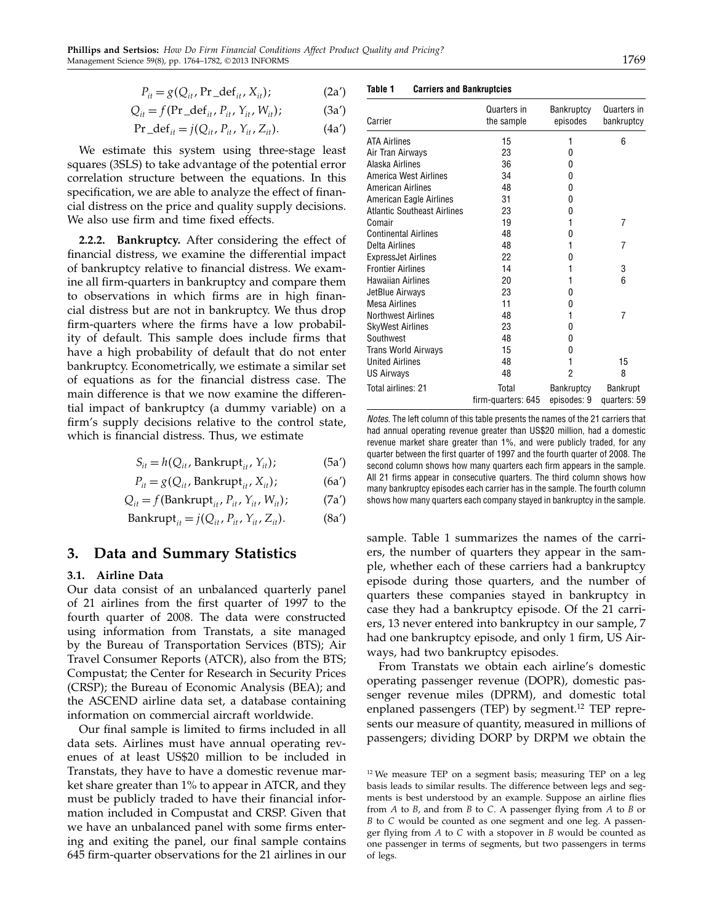$$
P_{it} = g(Q_{it}, \text{Pr\_def}_{it}, X_{it}); \qquad (2a')
$$

$$
Q_{it} = f(\Pr \_ \text{def}_{it}, P_{it}, Y_{it}, W_{it}); \tag{3a'}
$$

$$
Pr_{i} = j(Q_{it}, P_{it}, Y_{it}, Z_{it}).
$$
 (4a')

We estimate this system using three-stage least squares (3SLS) to take advantage of the potential error correlation structure between the equations. In this specification, we are able to analyze the effect of financial distress on the price and quality supply decisions. We also use firm and time fixed effects.

2.2.2. Bankruptcy. After considering the effect of financial distress, we examine the differential impact of bankruptcy relative to financial distress. We examine all firm-quarters in bankruptcy and compare them to observations in which firms are in high financial distress but are not in bankruptcy. We thus drop firm-quarters where the firms have a low probability of default. This sample does include firms that have a high probability of default that do not enter bankruptcy. Econometrically, we estimate a similar set of equations as for the financial distress case. The main difference is that we now examine the differential impact of bankruptcy (a dummy variable) on a firm's supply decisions relative to the control state, which is financial distress. Thus, we estimate

$$
S_{it} = h(Q_{it}, \text{Bankrupt}_{it}, Y_{it}); \tag{5a'}
$$

$$
P_{it} = g(Q_{it}, \text{Bankrupt}_{it}, X_{it}); \tag{6a'}
$$

$$
Q_{it} = f(\text{Bankrupt}_{it}, P_{it}, Y_{it}, W_{it}); \qquad (7a')
$$

$$
Bankruptit = j(Qit, Pit, Yit, Zit).
$$
 (8a')

## 3. Data and Summary Statistics

#### 3.1. Airline Data

Our data consist of an unbalanced quarterly panel of 21 airlines from the first quarter of 1997 to the fourth quarter of 2008. The data were constructed using information from Transtats, a site managed by the Bureau of Transportation Services (BTS); Air Travel Consumer Reports (ATCR), also from the BTS; Compustat; the Center for Research in Security Prices (CRSP); the Bureau of Economic Analysis (BEA); and the ASCEND airline data set, a database containing information on commercial aircraft worldwide.

Our final sample is limited to firms included in all data sets. Airlines must have annual operating revenues of at least US\$20 million to be included in Transtats, they have to have a domestic revenue market share greater than 1% to appear in ATCR, and they must be publicly traded to have their financial information included in Compustat and CRSP. Given that we have an unbalanced panel with some firms entering and exiting the panel, our final sample contains 645 firm-quarter observations for the 21 airlines in our

| Table 1 | <b>Carriers and Bankruptcies</b> |  |
|---------|----------------------------------|--|
|---------|----------------------------------|--|

| Carrier                            | Quarters in<br>the sample   | Bankruptcy<br>episodes    | Quarters in<br>bankruptcy       |
|------------------------------------|-----------------------------|---------------------------|---------------------------------|
| <b>ATA Airlines</b>                | 15                          | 1                         | 6                               |
| Air Tran Airways                   | 23                          | 0                         |                                 |
| Alaska Airlines                    | 36                          | 0                         |                                 |
| America West Airlines              | 34                          | 0                         |                                 |
| American Airlines                  | 48                          | 0                         |                                 |
| American Eagle Airlines            | 31                          | 0                         |                                 |
| <b>Atlantic Southeast Airlines</b> | 23                          | 0                         |                                 |
| Comair                             | 19                          | 1                         | 7                               |
| <b>Continental Airlines</b>        | 48                          | 0                         |                                 |
| Delta Airlines                     | 48                          | 1                         | 7                               |
| <b>ExpressJet Airlines</b>         | 22                          | 0                         |                                 |
| <b>Frontier Airlines</b>           | 14                          | 1                         | 3                               |
| <b>Hawaiian Airlines</b>           | 20                          | 1                         | 6                               |
| JetBlue Airways                    | 23                          | 0                         |                                 |
| Mesa Airlines                      | 11                          | 0                         |                                 |
| <b>Northwest Airlines</b>          | 48                          | 1                         | $\overline{7}$                  |
| <b>SkyWest Airlines</b>            | 23                          | 0                         |                                 |
| Southwest                          | 48                          | 0                         |                                 |
| Trans World Airways                | 15                          | 0                         |                                 |
| <b>United Airlines</b>             | 48                          | 1                         | 15                              |
| <b>US Airways</b>                  | 48                          | 2                         | 8                               |
| Total airlines: 21                 | Total<br>firm-quarters: 645 | Bankruptcy<br>episodes: 9 | <b>Bankrupt</b><br>quarters: 59 |

Notes. The left column of this table presents the names of the 21 carriers that had annual operating revenue greater than US\$20 million, had a domestic revenue market share greater than 1%, and were publicly traded, for any quarter between the first quarter of 1997 and the fourth quarter of 2008. The second column shows how many quarters each firm appears in the sample. All 21 firms appear in consecutive quarters. The third column shows how many bankruptcy episodes each carrier has in the sample. The fourth column shows how many quarters each company stayed in bankruptcy in the sample.

sample. Table 1 summarizes the names of the carriers, the number of quarters they appear in the sample, whether each of these carriers had a bankruptcy episode during those quarters, and the number of quarters these companies stayed in bankruptcy in case they had a bankruptcy episode. Of the 21 carriers, 13 never entered into bankruptcy in our sample, 7 had one bankruptcy episode, and only 1 firm, US Airways, had two bankruptcy episodes.

From Transtats we obtain each airline's domestic operating passenger revenue (DOPR), domestic passenger revenue miles (DPRM), and domestic total enplaned passengers (TEP) by segment.<sup>12</sup> TEP represents our measure of quantity, measured in millions of passengers; dividing DORP by DRPM we obtain the

<sup>&</sup>lt;sup>12</sup> We measure TEP on a segment basis; measuring TEP on a leg basis leads to similar results. The difference between legs and segments is best understood by an example. Suppose an airline flies from A to B, and from B to C. A passenger flying from A to B or B to C would be counted as one segment and one leg. A passenger flying from  $A$  to  $C$  with a stopover in  $B$  would be counted as one passenger in terms of segments, but two passengers in terms of legs.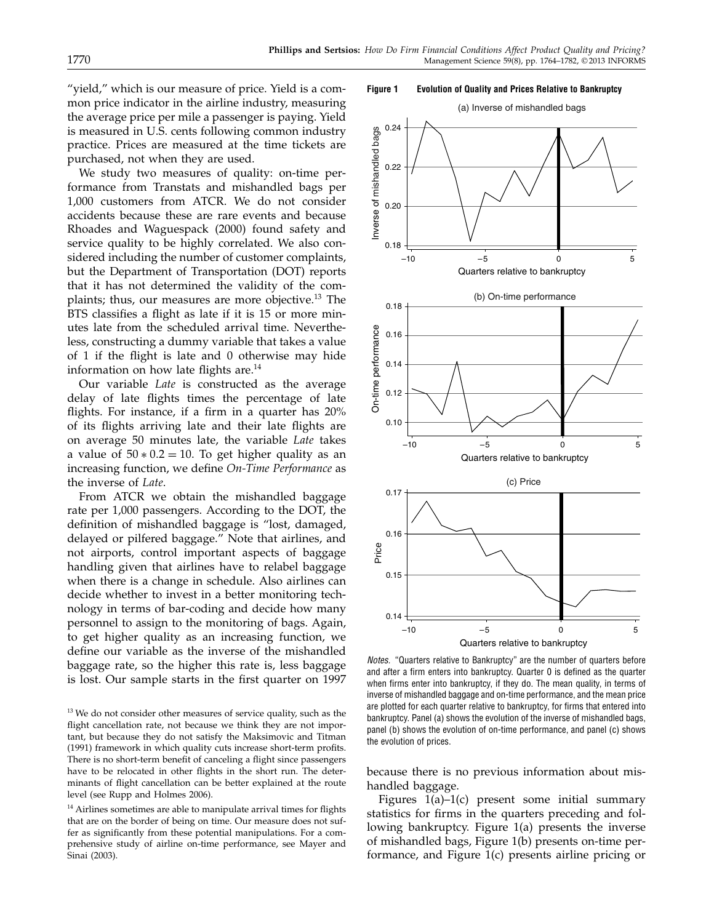Figure 1 Evolution of Quality and Prices Relative to Bankruptcy

"yield," which is our measure of price. Yield is a common price indicator in the airline industry, measuring the average price per mile a passenger is paying. Yield is measured in U.S. cents following common industry practice. Prices are measured at the time tickets are purchased, not when they are used.

We study two measures of quality: on-time performance from Transtats and mishandled bags per 1,000 customers from ATCR. We do not consider accidents because these are rare events and because Rhoades and Waguespack (2000) found safety and service quality to be highly correlated. We also considered including the number of customer complaints, but the Department of Transportation (DOT) reports that it has not determined the validity of the complaints; thus, our measures are more objective.<sup>13</sup> The BTS classifies a flight as late if it is 15 or more minutes late from the scheduled arrival time. Nevertheless, constructing a dummy variable that takes a value of 1 if the flight is late and 0 otherwise may hide information on how late flights are.<sup>14</sup>

Our variable Late is constructed as the average delay of late flights times the percentage of late flights. For instance, if a firm in a quarter has 20% of its flights arriving late and their late flights are on average 50 minutes late, the variable Late takes a value of  $50 * 0.2 = 10$ . To get higher quality as an increasing function, we define On-Time Performance as the inverse of Late.

From ATCR we obtain the mishandled baggage rate per 1,000 passengers. According to the DOT, the definition of mishandled baggage is "lost, damaged, delayed or pilfered baggage." Note that airlines, and not airports, control important aspects of baggage handling given that airlines have to relabel baggage when there is a change in schedule. Also airlines can decide whether to invest in a better monitoring technology in terms of bar-coding and decide how many personnel to assign to the monitoring of bags. Again, to get higher quality as an increasing function, we define our variable as the inverse of the mishandled baggage rate, so the higher this rate is, less baggage is lost. Our sample starts in the first quarter on 1997

<sup>13</sup> We do not consider other measures of service quality, such as the flight cancellation rate, not because we think they are not important, but because they do not satisfy the Maksimovic and Titman (1991) framework in which quality cuts increase short-term profits. There is no short-term benefit of canceling a flight since passengers have to be relocated in other flights in the short run. The determinants of flight cancellation can be better explained at the route level (see Rupp and Holmes 2006).

<sup>14</sup> Airlines sometimes are able to manipulate arrival times for flights that are on the border of being on time. Our measure does not suffer as significantly from these potential manipulations. For a comprehensive study of airline on-time performance, see Mayer and Sinai (2003).



Notes. "Quarters relative to Bankruptcy" are the number of quarters before and after a firm enters into bankruptcy. Quarter 0 is defined as the quarter when firms enter into bankruptcy, if they do. The mean quality, in terms of inverse of mishandled baggage and on-time performance, and the mean price are plotted for each quarter relative to bankruptcy, for firms that entered into bankruptcy. Panel (a) shows the evolution of the inverse of mishandled bags, panel (b) shows the evolution of on-time performance, and panel (c) shows the evolution of prices.

because there is no previous information about mishandled baggage.

Figures 1(a)–1(c) present some initial summary statistics for firms in the quarters preceding and following bankruptcy. Figure 1(a) presents the inverse of mishandled bags, Figure 1(b) presents on-time performance, and Figure 1(c) presents airline pricing or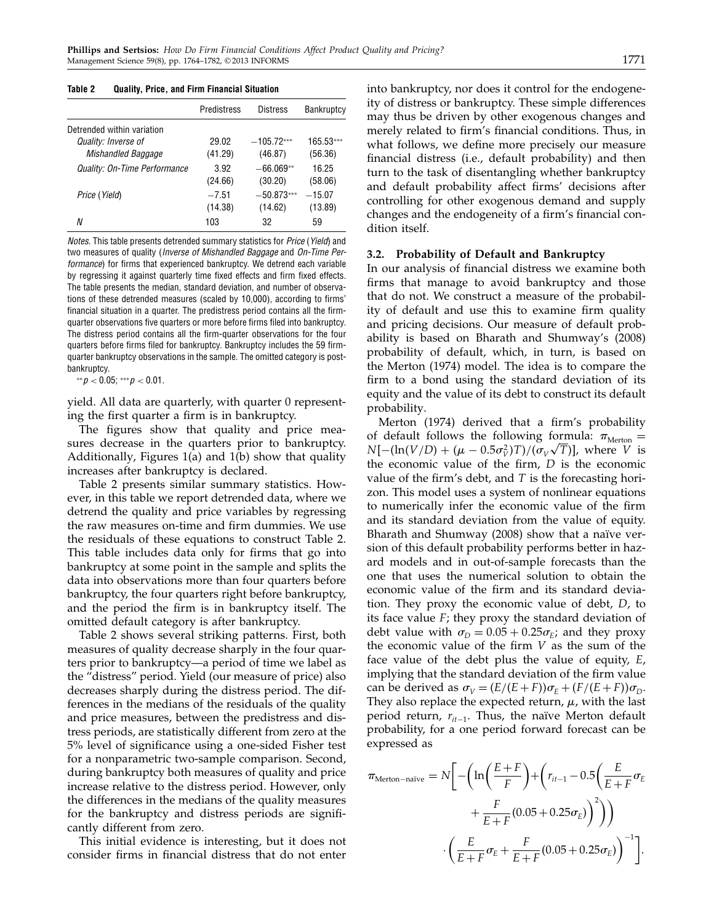Table 2 Quality, Price, and Firm Financial Situation

|                              | Predistress        | <b>Distress</b>         | Bankruptcy          |
|------------------------------|--------------------|-------------------------|---------------------|
| Detrended within variation   |                    |                         |                     |
| Quality: Inverse of          | 29.02              | $-105.72***$            | 165.53***           |
| Mishandled Baggage           | (41.29)            | (46.87)                 | (56.36)             |
| Quality: On-Time Performance | 3.92<br>(24.66)    | $-66.069**$<br>(30.20)  | 16.25<br>(58.06)    |
| Price (Yield)                | $-7.51$<br>(14.38) | $-50.873***$<br>(14.62) | $-15.07$<br>(13.89) |
| N                            | 103                | 32                      | 59                  |

Notes. This table presents detrended summary statistics for Price (Yield) and two measures of quality (Inverse of Mishandled Baggage and On-Time Performance) for firms that experienced bankruptcy. We detrend each variable by regressing it against quarterly time fixed effects and firm fixed effects. The table presents the median, standard deviation, and number of observations of these detrended measures (scaled by 10,000), according to firms' financial situation in a quarter. The predistress period contains all the firmquarter observations five quarters or more before firms filed into bankruptcy. The distress period contains all the firm-quarter observations for the four quarters before firms filed for bankruptcy. Bankruptcy includes the 59 firmquarter bankruptcy observations in the sample. The omitted category is postbankruptcy.

 $* p$  < 0.05;  $* p$  < 0.01.

yield. All data are quarterly, with quarter 0 representing the first quarter a firm is in bankruptcy.

The figures show that quality and price measures decrease in the quarters prior to bankruptcy. Additionally, Figures 1(a) and 1(b) show that quality increases after bankruptcy is declared.

Table 2 presents similar summary statistics. However, in this table we report detrended data, where we detrend the quality and price variables by regressing the raw measures on-time and firm dummies. We use the residuals of these equations to construct Table 2. This table includes data only for firms that go into bankruptcy at some point in the sample and splits the data into observations more than four quarters before bankruptcy, the four quarters right before bankruptcy, and the period the firm is in bankruptcy itself. The omitted default category is after bankruptcy.

Table 2 shows several striking patterns. First, both measures of quality decrease sharply in the four quarters prior to bankruptcy—a period of time we label as the "distress" period. Yield (our measure of price) also decreases sharply during the distress period. The differences in the medians of the residuals of the quality and price measures, between the predistress and distress periods, are statistically different from zero at the 5% level of significance using a one-sided Fisher test for a nonparametric two-sample comparison. Second, during bankruptcy both measures of quality and price increase relative to the distress period. However, only the differences in the medians of the quality measures for the bankruptcy and distress periods are significantly different from zero.

This initial evidence is interesting, but it does not consider firms in financial distress that do not enter into bankruptcy, nor does it control for the endogeneity of distress or bankruptcy. These simple differences may thus be driven by other exogenous changes and merely related to firm's financial conditions. Thus, in what follows, we define more precisely our measure financial distress (i.e., default probability) and then turn to the task of disentangling whether bankruptcy and default probability affect firms' decisions after controlling for other exogenous demand and supply changes and the endogeneity of a firm's financial condition itself.

#### 3.2. Probability of Default and Bankruptcy

In our analysis of financial distress we examine both firms that manage to avoid bankruptcy and those that do not. We construct a measure of the probability of default and use this to examine firm quality and pricing decisions. Our measure of default probability is based on Bharath and Shumway's (2008) probability of default, which, in turn, is based on the Merton (1974) model. The idea is to compare the firm to a bond using the standard deviation of its equity and the value of its debt to construct its default probability.

Merton (1974) derived that a firm's probability of default follows the following formula:  $\pi_{\text{Merton}} =$  $N[-(\ln(V/D) + (\mu - 0.5\sigma_V^2)T)/(\sigma_V\sqrt{T})]$ , where V is the economic value of the firm, D is the economic value of the firm's debt, and  $T$  is the forecasting horizon. This model uses a system of nonlinear equations to numerically infer the economic value of the firm and its standard deviation from the value of equity. Bharath and Shumway (2008) show that a naïve version of this default probability performs better in hazard models and in out-of-sample forecasts than the one that uses the numerical solution to obtain the economic value of the firm and its standard deviation. They proxy the economic value of debt, D, to its face value  $F$ ; they proxy the standard deviation of debt value with  $\sigma_D = 0.05 + 0.25\sigma_E$ ; and they proxy the economic value of the firm  $V$  as the sum of the face value of the debt plus the value of equity, E, implying that the standard deviation of the firm value can be derived as  $\sigma_V = (E/(E + F))\sigma_F + (F/(E + F))\sigma_D$ . They also replace the expected return,  $\mu$ , with the last period return*, r<sub>it−1</sub>*. Thus*,* the naïve Merton default probability, for a one period forward forecast can be expressed as

$$
\pi_{\text{Merton-native}} = N \bigg[ - \bigg( \ln \bigg( \frac{E+F}{F} \bigg) + \bigg( r_{it-1} - 0.5 \bigg( \frac{E}{E+F} \sigma_E + \frac{F}{E+F} (0.05 + 0.25 \sigma_E) \bigg)^2 \bigg) \bigg)
$$

$$
\cdot \bigg( \frac{E}{E+F} \sigma_E + \frac{F}{E+F} (0.05 + 0.25 \sigma_E) \bigg)^{-1} \bigg].
$$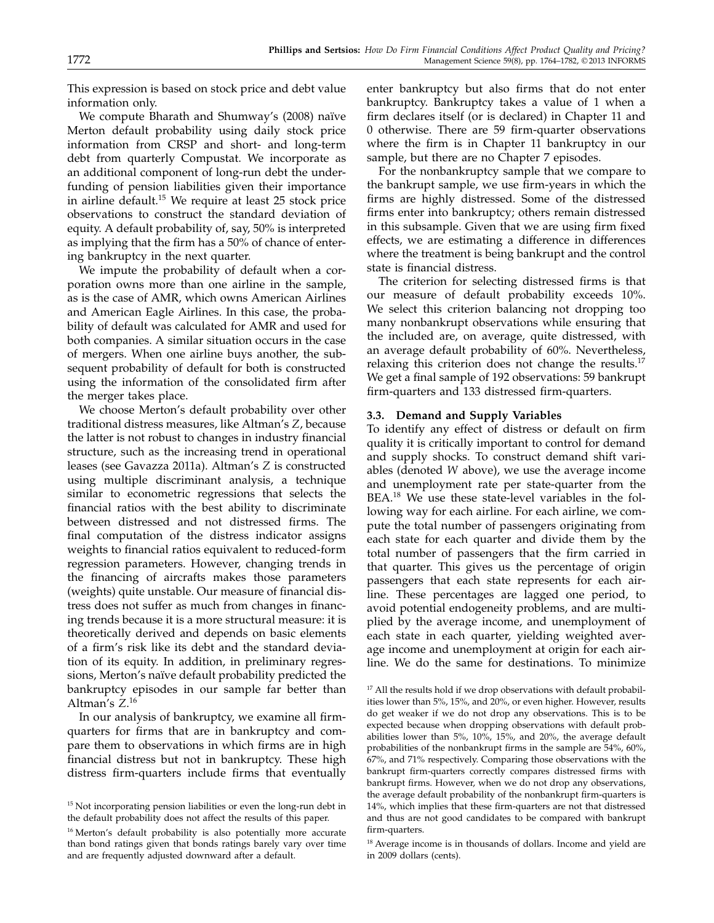This expression is based on stock price and debt value information only.

We compute Bharath and Shumway's (2008) naïve Merton default probability using daily stock price information from CRSP and short- and long-term debt from quarterly Compustat. We incorporate as an additional component of long-run debt the underfunding of pension liabilities given their importance in airline default.<sup>15</sup> We require at least 25 stock price observations to construct the standard deviation of equity. A default probability of, say, 50% is interpreted as implying that the firm has a 50% of chance of entering bankruptcy in the next quarter.

We impute the probability of default when a corporation owns more than one airline in the sample, as is the case of AMR, which owns American Airlines and American Eagle Airlines. In this case, the probability of default was calculated for AMR and used for both companies. A similar situation occurs in the case of mergers. When one airline buys another, the subsequent probability of default for both is constructed using the information of the consolidated firm after the merger takes place.

We choose Merton's default probability over other traditional distress measures, like Altman's Z, because the latter is not robust to changes in industry financial structure, such as the increasing trend in operational leases (see Gavazza 2011a). Altman's Z is constructed using multiple discriminant analysis, a technique similar to econometric regressions that selects the financial ratios with the best ability to discriminate between distressed and not distressed firms. The final computation of the distress indicator assigns weights to financial ratios equivalent to reduced-form regression parameters. However, changing trends in the financing of aircrafts makes those parameters (weights) quite unstable. Our measure of financial distress does not suffer as much from changes in financing trends because it is a more structural measure: it is theoretically derived and depends on basic elements of a firm's risk like its debt and the standard deviation of its equity. In addition, in preliminary regressions, Merton's naïve default probability predicted the bankruptcy episodes in our sample far better than Altman's Z. 16

In our analysis of bankruptcy, we examine all firmquarters for firms that are in bankruptcy and compare them to observations in which firms are in high financial distress but not in bankruptcy. These high distress firm-quarters include firms that eventually

enter bankruptcy but also firms that do not enter bankruptcy. Bankruptcy takes a value of 1 when a firm declares itself (or is declared) in Chapter 11 and 0 otherwise. There are 59 firm-quarter observations where the firm is in Chapter 11 bankruptcy in our sample, but there are no Chapter 7 episodes.

For the nonbankruptcy sample that we compare to the bankrupt sample, we use firm-years in which the firms are highly distressed. Some of the distressed firms enter into bankruptcy; others remain distressed in this subsample. Given that we are using firm fixed effects, we are estimating a difference in differences where the treatment is being bankrupt and the control state is financial distress.

The criterion for selecting distressed firms is that our measure of default probability exceeds 10%. We select this criterion balancing not dropping too many nonbankrupt observations while ensuring that the included are, on average, quite distressed, with an average default probability of 60%. Nevertheless, relaxing this criterion does not change the results.<sup>17</sup> We get a final sample of 192 observations: 59 bankrupt firm-quarters and 133 distressed firm-quarters.

#### 3.3. Demand and Supply Variables

To identify any effect of distress or default on firm quality it is critically important to control for demand and supply shocks. To construct demand shift variables (denoted W above), we use the average income and unemployment rate per state-quarter from the BEA.<sup>18</sup> We use these state-level variables in the following way for each airline. For each airline, we compute the total number of passengers originating from each state for each quarter and divide them by the total number of passengers that the firm carried in that quarter. This gives us the percentage of origin passengers that each state represents for each airline. These percentages are lagged one period, to avoid potential endogeneity problems, and are multiplied by the average income, and unemployment of each state in each quarter, yielding weighted average income and unemployment at origin for each airline. We do the same for destinations. To minimize

<sup>&</sup>lt;sup>15</sup> Not incorporating pension liabilities or even the long-run debt in the default probability does not affect the results of this paper.

<sup>&</sup>lt;sup>16</sup> Merton's default probability is also potentially more accurate than bond ratings given that bonds ratings barely vary over time and are frequently adjusted downward after a default.

<sup>&</sup>lt;sup>17</sup> All the results hold if we drop observations with default probabilities lower than 5%, 15%, and 20%, or even higher. However, results do get weaker if we do not drop any observations. This is to be expected because when dropping observations with default probabilities lower than 5%, 10%, 15%, and 20%, the average default probabilities of the nonbankrupt firms in the sample are 54%, 60%, 67%, and 71% respectively. Comparing those observations with the bankrupt firm-quarters correctly compares distressed firms with bankrupt firms. However, when we do not drop any observations, the average default probability of the nonbankrupt firm-quarters is 14%, which implies that these firm-quarters are not that distressed and thus are not good candidates to be compared with bankrupt firm-quarters.

<sup>&</sup>lt;sup>18</sup> Average income is in thousands of dollars. Income and yield are in 2009 dollars (cents).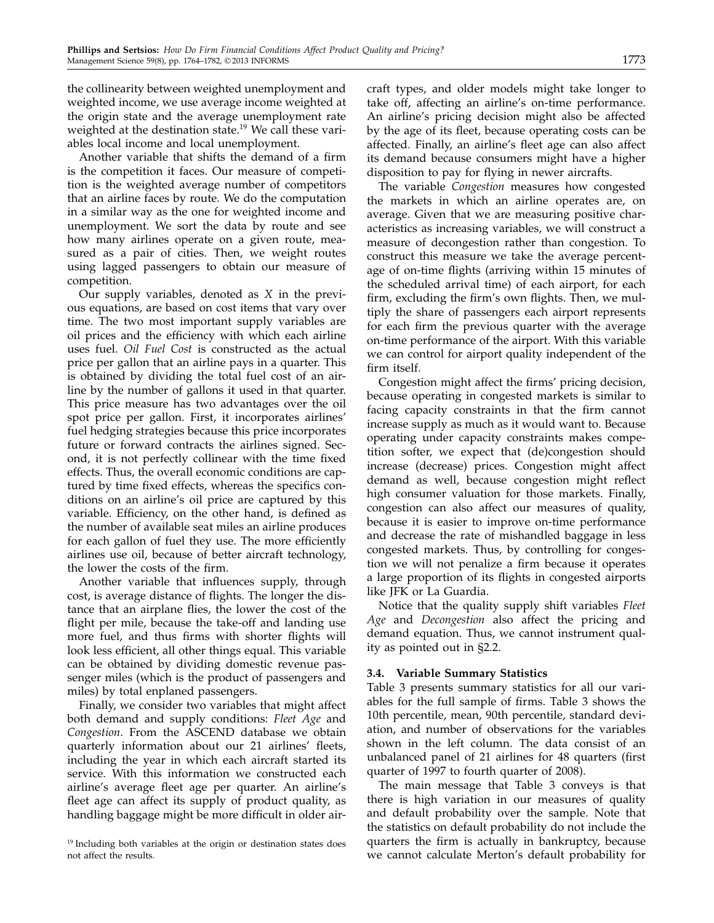the collinearity between weighted unemployment and weighted income, we use average income weighted at the origin state and the average unemployment rate weighted at the destination state.<sup>19</sup> We call these variables local income and local unemployment.

Another variable that shifts the demand of a firm is the competition it faces. Our measure of competition is the weighted average number of competitors that an airline faces by route. We do the computation in a similar way as the one for weighted income and unemployment. We sort the data by route and see how many airlines operate on a given route, measured as a pair of cities. Then, we weight routes using lagged passengers to obtain our measure of competition.

Our supply variables, denoted as X in the previous equations, are based on cost items that vary over time. The two most important supply variables are oil prices and the efficiency with which each airline uses fuel. Oil Fuel Cost is constructed as the actual price per gallon that an airline pays in a quarter. This is obtained by dividing the total fuel cost of an airline by the number of gallons it used in that quarter. This price measure has two advantages over the oil spot price per gallon. First, it incorporates airlines' fuel hedging strategies because this price incorporates future or forward contracts the airlines signed. Second, it is not perfectly collinear with the time fixed effects. Thus, the overall economic conditions are captured by time fixed effects, whereas the specifics conditions on an airline's oil price are captured by this variable. Efficiency, on the other hand, is defined as the number of available seat miles an airline produces for each gallon of fuel they use. The more efficiently airlines use oil, because of better aircraft technology, the lower the costs of the firm.

Another variable that influences supply, through cost, is average distance of flights. The longer the distance that an airplane flies, the lower the cost of the flight per mile, because the take-off and landing use more fuel, and thus firms with shorter flights will look less efficient, all other things equal. This variable can be obtained by dividing domestic revenue passenger miles (which is the product of passengers and miles) by total enplaned passengers.

Finally, we consider two variables that might affect both demand and supply conditions: Fleet Age and Congestion. From the ASCEND database we obtain quarterly information about our 21 airlines' fleets, including the year in which each aircraft started its service. With this information we constructed each airline's average fleet age per quarter. An airline's fleet age can affect its supply of product quality, as handling baggage might be more difficult in older aircraft types, and older models might take longer to take off, affecting an airline's on-time performance. An airline's pricing decision might also be affected by the age of its fleet, because operating costs can be affected. Finally, an airline's fleet age can also affect its demand because consumers might have a higher disposition to pay for flying in newer aircrafts.

The variable Congestion measures how congested the markets in which an airline operates are, on average. Given that we are measuring positive characteristics as increasing variables, we will construct a measure of decongestion rather than congestion. To construct this measure we take the average percentage of on-time flights (arriving within 15 minutes of the scheduled arrival time) of each airport, for each firm, excluding the firm's own flights. Then, we multiply the share of passengers each airport represents for each firm the previous quarter with the average on-time performance of the airport. With this variable we can control for airport quality independent of the firm itself.

Congestion might affect the firms' pricing decision, because operating in congested markets is similar to facing capacity constraints in that the firm cannot increase supply as much as it would want to. Because operating under capacity constraints makes competition softer, we expect that (de)congestion should increase (decrease) prices. Congestion might affect demand as well, because congestion might reflect high consumer valuation for those markets. Finally, congestion can also affect our measures of quality, because it is easier to improve on-time performance and decrease the rate of mishandled baggage in less congested markets. Thus, by controlling for congestion we will not penalize a firm because it operates a large proportion of its flights in congested airports like JFK or La Guardia.

Notice that the quality supply shift variables Fleet Age and Decongestion also affect the pricing and demand equation. Thus, we cannot instrument quality as pointed out in §2.2.

## 3.4. Variable Summary Statistics

Table 3 presents summary statistics for all our variables for the full sample of firms. Table 3 shows the 10th percentile, mean, 90th percentile, standard deviation, and number of observations for the variables shown in the left column. The data consist of an unbalanced panel of 21 airlines for 48 quarters (first quarter of 1997 to fourth quarter of 2008).

The main message that Table 3 conveys is that there is high variation in our measures of quality and default probability over the sample. Note that the statistics on default probability do not include the quarters the firm is actually in bankruptcy, because we cannot calculate Merton's default probability for

<sup>&</sup>lt;sup>19</sup> Including both variables at the origin or destination states does not affect the results.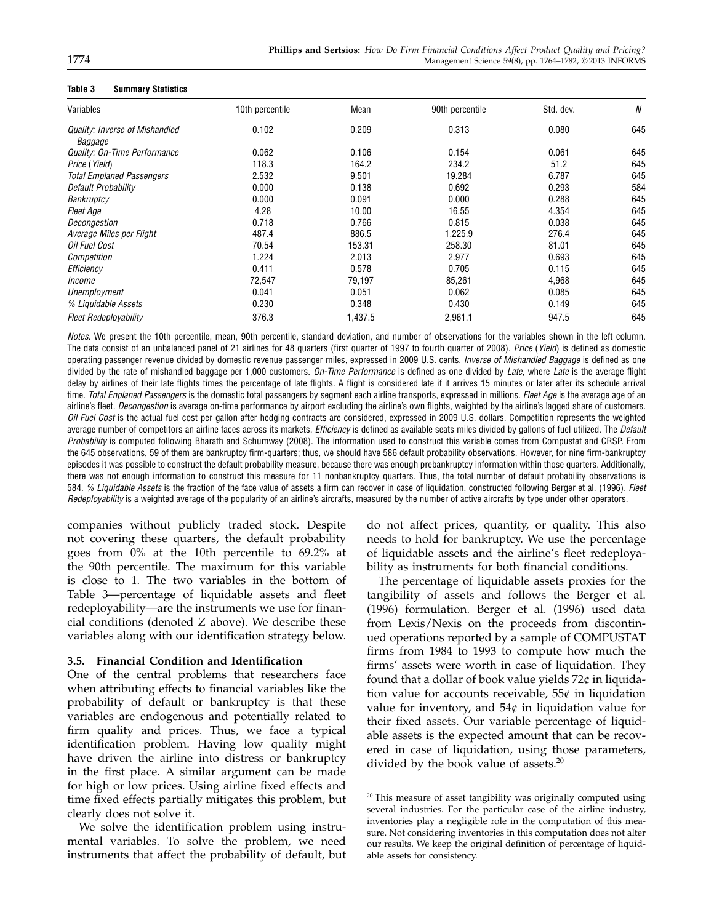| Variables                               | 10th percentile | Mean    | 90th percentile | Std. dev. | N   |
|-----------------------------------------|-----------------|---------|-----------------|-----------|-----|
| Quality: Inverse of Mishandled          | 0.102           | 0.209   | 0.313           | 0.080     | 645 |
| Baggage<br>Quality: On-Time Performance | 0.062           | 0.106   | 0.154           | 0.061     | 645 |
| Price (Yield)                           | 118.3           | 164.2   | 234.2           | 51.2      | 645 |
| <b>Total Emplaned Passengers</b>        | 2.532           | 9.501   | 19.284          | 6.787     | 645 |
| Default Probability                     | 0.000           | 0.138   | 0.692           | 0.293     | 584 |
| Bankruptcy                              | 0.000           | 0.091   | 0.000           | 0.288     | 645 |
| Fleet Age                               | 4.28            | 10.00   | 16.55           | 4.354     | 645 |
| Decongestion                            | 0.718           | 0.766   | 0.815           | 0.038     | 645 |
| Average Miles per Flight                | 487.4           | 886.5   | 1,225.9         | 276.4     | 645 |
| Oil Fuel Cost                           | 70.54           | 153.31  | 258.30          | 81.01     | 645 |
| Competition                             | 1.224           | 2.013   | 2.977           | 0.693     | 645 |
| Efficiency                              | 0.411           | 0.578   | 0.705           | 0.115     | 645 |
| Income                                  | 72,547          | 79,197  | 85,261          | 4,968     | 645 |
| Unemployment                            | 0.041           | 0.051   | 0.062           | 0.085     | 645 |
| % Liquidable Assets                     | 0.230           | 0.348   | 0.430           | 0.149     | 645 |
| <b>Fleet Redeployability</b>            | 376.3           | 1,437.5 | 2,961.1         | 947.5     | 645 |

#### Table 3 Summary Statistics

Notes. We present the 10th percentile, mean, 90th percentile, standard deviation, and number of observations for the variables shown in the left column. The data consist of an unbalanced panel of 21 airlines for 48 quarters (first quarter of 1997 to fourth quarter of 2008). Price (Yield) is defined as domestic operating passenger revenue divided by domestic revenue passenger miles, expressed in 2009 U.S. cents. Inverse of Mishandled Baggage is defined as one divided by the rate of mishandled baggage per 1,000 customers. On-Time Performance is defined as one divided by Late, where Late is the average flight delay by airlines of their late flights times the percentage of late flights. A flight is considered late if it arrives 15 minutes or later after its schedule arrival time. Total Enplaned Passengers is the domestic total passengers by segment each airline transports, expressed in millions. Fleet Age is the average age of an airline's fleet. Decongestion is average on-time performance by airport excluding the airline's own flights, weighted by the airline's lagged share of customers. Oil Fuel Cost is the actual fuel cost per gallon after hedging contracts are considered, expressed in 2009 U.S. dollars. Competition represents the weighted average number of competitors an airline faces across its markets. Efficiency is defined as available seats miles divided by gallons of fuel utilized. The Default Probability is computed following Bharath and Schumway (2008). The information used to construct this variable comes from Compustat and CRSP. From the 645 observations, 59 of them are bankruptcy firm-quarters; thus, we should have 586 default probability observations. However, for nine firm-bankruptcy episodes it was possible to construct the default probability measure, because there was enough prebankruptcy information within those quarters. Additionally, there was not enough information to construct this measure for 11 nonbankruptcy quarters. Thus, the total number of default probability observations is 584. % Liquidable Assets is the fraction of the face value of assets a firm can recover in case of liquidation, constructed following Berger et al. (1996). Fleet Redeployability is a weighted average of the popularity of an airline's aircrafts, measured by the number of active aircrafts by type under other operators.

companies without publicly traded stock. Despite not covering these quarters, the default probability goes from 0% at the 10th percentile to 69.2% at the 90th percentile. The maximum for this variable is close to 1. The two variables in the bottom of Table 3—percentage of liquidable assets and fleet redeployability—are the instruments we use for financial conditions (denoted Z above). We describe these variables along with our identification strategy below.

## 3.5. Financial Condition and Identification

One of the central problems that researchers face when attributing effects to financial variables like the probability of default or bankruptcy is that these variables are endogenous and potentially related to firm quality and prices. Thus, we face a typical identification problem. Having low quality might have driven the airline into distress or bankruptcy in the first place. A similar argument can be made for high or low prices. Using airline fixed effects and time fixed effects partially mitigates this problem, but clearly does not solve it.

We solve the identification problem using instrumental variables. To solve the problem, we need instruments that affect the probability of default, but do not affect prices, quantity, or quality. This also needs to hold for bankruptcy. We use the percentage of liquidable assets and the airline's fleet redeployability as instruments for both financial conditions.

The percentage of liquidable assets proxies for the tangibility of assets and follows the Berger et al. (1996) formulation. Berger et al. (1996) used data from Lexis/Nexis on the proceeds from discontinued operations reported by a sample of COMPUSTAT firms from 1984 to 1993 to compute how much the firms' assets were worth in case of liquidation. They found that a dollar of book value yields  $72¢$  in liquidation value for accounts receivable,  $55¢$  in liquidation value for inventory, and  $54¢$  in liquidation value for their fixed assets. Our variable percentage of liquidable assets is the expected amount that can be recovered in case of liquidation, using those parameters, divided by the book value of assets.<sup>20</sup>

<sup>20</sup> This measure of asset tangibility was originally computed using several industries. For the particular case of the airline industry, inventories play a negligible role in the computation of this measure. Not considering inventories in this computation does not alter our results. We keep the original definition of percentage of liquidable assets for consistency.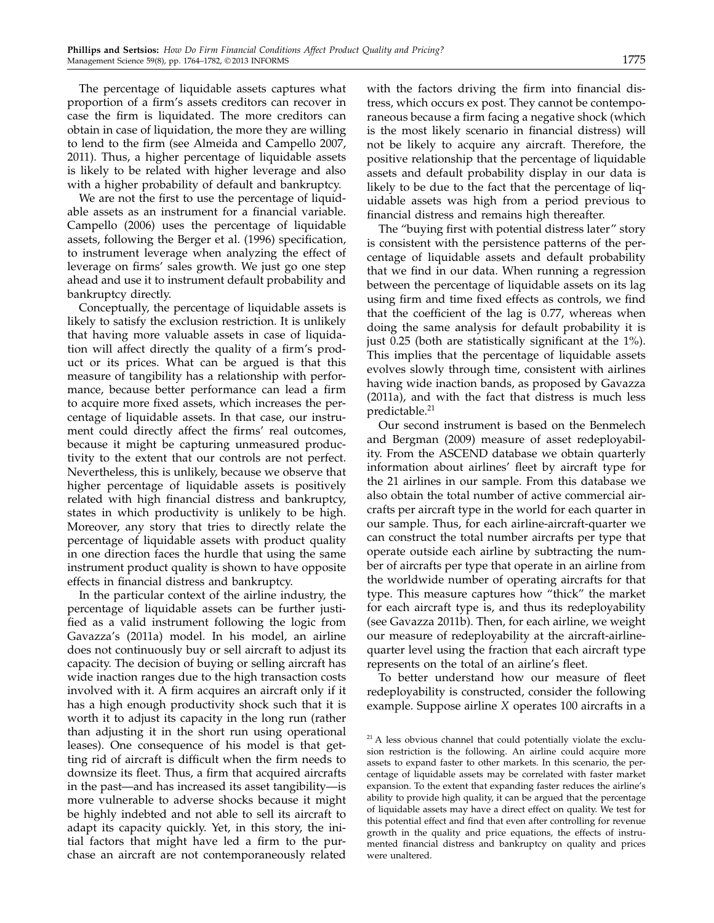The percentage of liquidable assets captures what proportion of a firm's assets creditors can recover in case the firm is liquidated. The more creditors can obtain in case of liquidation, the more they are willing to lend to the firm (see Almeida and Campello 2007, 2011). Thus, a higher percentage of liquidable assets is likely to be related with higher leverage and also with a higher probability of default and bankruptcy.

We are not the first to use the percentage of liquidable assets as an instrument for a financial variable. Campello (2006) uses the percentage of liquidable assets, following the Berger et al. (1996) specification, to instrument leverage when analyzing the effect of leverage on firms' sales growth. We just go one step ahead and use it to instrument default probability and bankruptcy directly.

Conceptually, the percentage of liquidable assets is likely to satisfy the exclusion restriction. It is unlikely that having more valuable assets in case of liquidation will affect directly the quality of a firm's product or its prices. What can be argued is that this measure of tangibility has a relationship with performance, because better performance can lead a firm to acquire more fixed assets, which increases the percentage of liquidable assets. In that case, our instrument could directly affect the firms' real outcomes, because it might be capturing unmeasured productivity to the extent that our controls are not perfect. Nevertheless, this is unlikely, because we observe that higher percentage of liquidable assets is positively related with high financial distress and bankruptcy, states in which productivity is unlikely to be high. Moreover, any story that tries to directly relate the percentage of liquidable assets with product quality in one direction faces the hurdle that using the same instrument product quality is shown to have opposite effects in financial distress and bankruptcy.

In the particular context of the airline industry, the percentage of liquidable assets can be further justified as a valid instrument following the logic from Gavazza's (2011a) model. In his model, an airline does not continuously buy or sell aircraft to adjust its capacity. The decision of buying or selling aircraft has wide inaction ranges due to the high transaction costs involved with it. A firm acquires an aircraft only if it has a high enough productivity shock such that it is worth it to adjust its capacity in the long run (rather than adjusting it in the short run using operational leases). One consequence of his model is that getting rid of aircraft is difficult when the firm needs to downsize its fleet. Thus, a firm that acquired aircrafts in the past—and has increased its asset tangibility—is more vulnerable to adverse shocks because it might be highly indebted and not able to sell its aircraft to adapt its capacity quickly. Yet, in this story, the initial factors that might have led a firm to the purchase an aircraft are not contemporaneously related with the factors driving the firm into financial distress, which occurs ex post. They cannot be contemporaneous because a firm facing a negative shock (which is the most likely scenario in financial distress) will not be likely to acquire any aircraft. Therefore, the positive relationship that the percentage of liquidable assets and default probability display in our data is likely to be due to the fact that the percentage of liquidable assets was high from a period previous to financial distress and remains high thereafter.

The "buying first with potential distress later" story is consistent with the persistence patterns of the percentage of liquidable assets and default probability that we find in our data. When running a regression between the percentage of liquidable assets on its lag using firm and time fixed effects as controls, we find that the coefficient of the lag is 0.77, whereas when doing the same analysis for default probability it is just 0.25 (both are statistically significant at the 1%). This implies that the percentage of liquidable assets evolves slowly through time, consistent with airlines having wide inaction bands, as proposed by Gavazza (2011a), and with the fact that distress is much less predictable.<sup>21</sup>

Our second instrument is based on the Benmelech and Bergman (2009) measure of asset redeployability. From the ASCEND database we obtain quarterly information about airlines' fleet by aircraft type for the 21 airlines in our sample. From this database we also obtain the total number of active commercial aircrafts per aircraft type in the world for each quarter in our sample. Thus, for each airline-aircraft-quarter we can construct the total number aircrafts per type that operate outside each airline by subtracting the number of aircrafts per type that operate in an airline from the worldwide number of operating aircrafts for that type. This measure captures how "thick" the market for each aircraft type is, and thus its redeployability (see Gavazza 2011b). Then, for each airline, we weight our measure of redeployability at the aircraft-airlinequarter level using the fraction that each aircraft type represents on the total of an airline's fleet.

To better understand how our measure of fleet redeployability is constructed, consider the following example. Suppose airline X operates 100 aircrafts in a

<sup>&</sup>lt;sup>21</sup> A less obvious channel that could potentially violate the exclusion restriction is the following. An airline could acquire more assets to expand faster to other markets. In this scenario, the percentage of liquidable assets may be correlated with faster market expansion. To the extent that expanding faster reduces the airline's ability to provide high quality, it can be argued that the percentage of liquidable assets may have a direct effect on quality. We test for this potential effect and find that even after controlling for revenue growth in the quality and price equations, the effects of instrumented financial distress and bankruptcy on quality and prices were unaltered.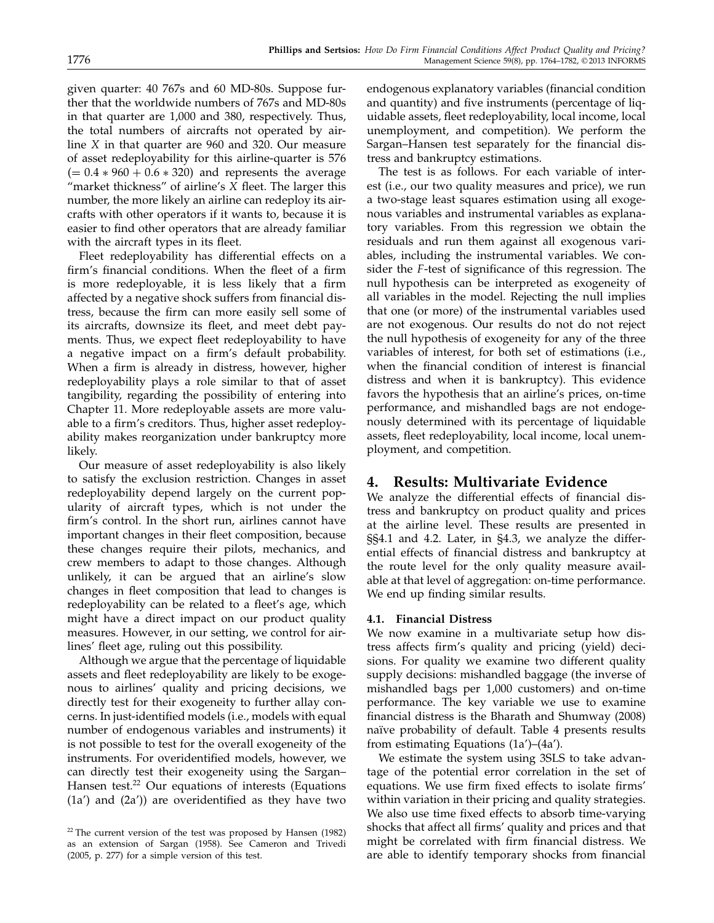given quarter: 40 767s and 60 MD-80s. Suppose further that the worldwide numbers of 767s and MD-80s in that quarter are 1,000 and 380, respectively. Thus, the total numbers of aircrafts not operated by airline X in that quarter are 960 and 320. Our measure of asset redeployability for this airline-quarter is 576  $(= 0.4 * 960 + 0.6 * 320)$  and represents the average "market thickness" of airline's X fleet. The larger this number, the more likely an airline can redeploy its aircrafts with other operators if it wants to, because it is easier to find other operators that are already familiar with the aircraft types in its fleet.

Fleet redeployability has differential effects on a firm's financial conditions. When the fleet of a firm is more redeployable, it is less likely that a firm affected by a negative shock suffers from financial distress, because the firm can more easily sell some of its aircrafts, downsize its fleet, and meet debt payments. Thus, we expect fleet redeployability to have a negative impact on a firm's default probability. When a firm is already in distress, however, higher redeployability plays a role similar to that of asset tangibility, regarding the possibility of entering into Chapter 11. More redeployable assets are more valuable to a firm's creditors. Thus, higher asset redeployability makes reorganization under bankruptcy more likely.

Our measure of asset redeployability is also likely to satisfy the exclusion restriction. Changes in asset redeployability depend largely on the current popularity of aircraft types, which is not under the firm's control. In the short run, airlines cannot have important changes in their fleet composition, because these changes require their pilots, mechanics, and crew members to adapt to those changes. Although unlikely, it can be argued that an airline's slow changes in fleet composition that lead to changes is redeployability can be related to a fleet's age, which might have a direct impact on our product quality measures. However, in our setting, we control for airlines' fleet age, ruling out this possibility.

Although we argue that the percentage of liquidable assets and fleet redeployability are likely to be exogenous to airlines' quality and pricing decisions, we directly test for their exogeneity to further allay concerns. In just-identified models (i.e., models with equal number of endogenous variables and instruments) it is not possible to test for the overall exogeneity of the instruments. For overidentified models, however, we can directly test their exogeneity using the Sargan– Hansen test.<sup>22</sup> Our equations of interests (Equations (1a') and (2a')) are overidentified as they have two

endogenous explanatory variables (financial condition and quantity) and five instruments (percentage of liquidable assets, fleet redeployability, local income, local unemployment, and competition). We perform the Sargan–Hansen test separately for the financial distress and bankruptcy estimations.

The test is as follows. For each variable of interest (i.e., our two quality measures and price), we run a two-stage least squares estimation using all exogenous variables and instrumental variables as explanatory variables. From this regression we obtain the residuals and run them against all exogenous variables, including the instrumental variables. We consider the *F*-test of significance of this regression. The null hypothesis can be interpreted as exogeneity of all variables in the model. Rejecting the null implies that one (or more) of the instrumental variables used are not exogenous. Our results do not do not reject the null hypothesis of exogeneity for any of the three variables of interest, for both set of estimations (i.e., when the financial condition of interest is financial distress and when it is bankruptcy). This evidence favors the hypothesis that an airline's prices, on-time performance, and mishandled bags are not endogenously determined with its percentage of liquidable assets, fleet redeployability, local income, local unemployment, and competition.

## 4. Results: Multivariate Evidence

We analyze the differential effects of financial distress and bankruptcy on product quality and prices at the airline level. These results are presented in §§4.1 and 4.2. Later, in §4.3, we analyze the differential effects of financial distress and bankruptcy at the route level for the only quality measure available at that level of aggregation: on-time performance. We end up finding similar results.

#### 4.1. Financial Distress

We now examine in a multivariate setup how distress affects firm's quality and pricing (yield) decisions. For quality we examine two different quality supply decisions: mishandled baggage (the inverse of mishandled bags per 1,000 customers) and on-time performance. The key variable we use to examine financial distress is the Bharath and Shumway (2008) naïve probability of default. Table 4 presents results from estimating Equations (1a')–(4a').

We estimate the system using 3SLS to take advantage of the potential error correlation in the set of equations. We use firm fixed effects to isolate firms' within variation in their pricing and quality strategies. We also use time fixed effects to absorb time-varying shocks that affect all firms' quality and prices and that might be correlated with firm financial distress. We are able to identify temporary shocks from financial

<sup>&</sup>lt;sup>22</sup> The current version of the test was proposed by Hansen (1982) as an extension of Sargan (1958). See Cameron and Trivedi (2005, p. 277) for a simple version of this test.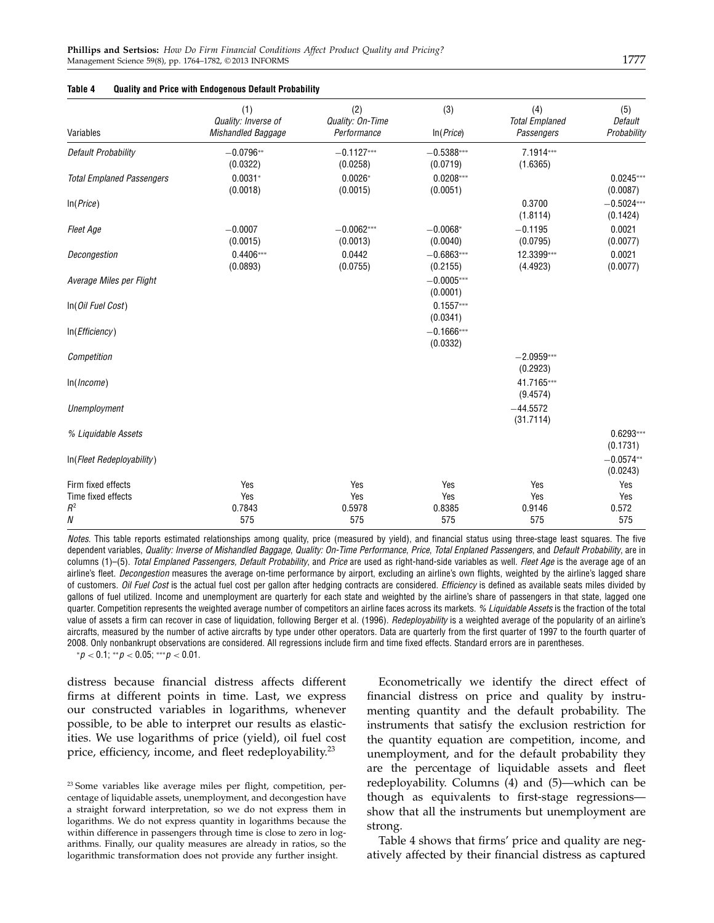Table 4 Quality and Price with Endogenous Default Probability

| Variables                        | (1)<br>Quality: Inverse of<br><b>Mishandled Baggage</b> | (2)<br>Quality: On-Time<br>Performance | (3)<br>In(Price)         | (4)<br><b>Total Emplaned</b><br>Passengers | (5)<br><b>Default</b><br>Probability |
|----------------------------------|---------------------------------------------------------|----------------------------------------|--------------------------|--------------------------------------------|--------------------------------------|
| Default Probability              | $-0.0796**$                                             | $-0.1127***$                           | $-0.5388***$             | 7.1914***                                  |                                      |
|                                  | (0.0322)                                                | (0.0258)                               | (0.0719)                 | (1.6365)                                   |                                      |
| <b>Total Emplaned Passengers</b> | $0.0031*$<br>(0.0018)                                   | $0.0026*$<br>(0.0015)                  | $0.0208***$<br>(0.0051)  |                                            | $0.0245***$<br>(0.0087)              |
| ln(Price)                        |                                                         |                                        |                          | 0.3700<br>(1.8114)                         | $-0.5024***$<br>(0.1424)             |
| <b>Fleet Age</b>                 | $-0.0007$<br>(0.0015)                                   | $-0.0062***$<br>(0.0013)               | $-0.0068*$<br>(0.0040)   | $-0.1195$<br>(0.0795)                      | 0.0021<br>(0.0077)                   |
| Decongestion                     | $0.4406***$<br>(0.0893)                                 | 0.0442<br>(0.0755)                     | $-0.6863***$<br>(0.2155) | 12.3399***<br>(4.4923)                     | 0.0021<br>(0.0077)                   |
| Average Miles per Flight         |                                                         |                                        | $-0.0005***$<br>(0.0001) |                                            |                                      |
| In(Oil Fuel Cost)                |                                                         |                                        | $0.1557***$<br>(0.0341)  |                                            |                                      |
| In( <i>Efficiency</i> )          |                                                         |                                        | $-0.1666***$<br>(0.0332) |                                            |                                      |
| Competition                      |                                                         |                                        |                          | $-2.0959***$<br>(0.2923)                   |                                      |
| ln(Income)                       |                                                         |                                        |                          | 41.7165***<br>(9.4574)                     |                                      |
| Unemployment                     |                                                         |                                        |                          | $-44.5572$<br>(31.7114)                    |                                      |
| % Liquidable Assets              |                                                         |                                        |                          |                                            | $0.6293***$<br>(0.1731)              |
| In(Fleet Redeployability)        |                                                         |                                        |                          |                                            | $-0.0574**$<br>(0.0243)              |
| Firm fixed effects               | Yes                                                     | Yes                                    | Yes                      | Yes                                        | Yes                                  |
| Time fixed effects               | Yes                                                     | Yes                                    | Yes                      | Yes                                        | Yes                                  |
| $R^2$                            | 0.7843                                                  | 0.5978                                 | 0.8385                   | 0.9146                                     | 0.572                                |
| N                                | 575                                                     | 575                                    | 575                      | 575                                        | 575                                  |

Notes. This table reports estimated relationships among quality, price (measured by yield), and financial status using three-stage least squares. The five dependent variables, Quality: Inverse of Mishandled Baggage, Quality: On-Time Performance, Price, Total Enplaned Passengers, and Default Probability, are in columns (1)–(5). Total Emplaned Passengers, Default Probability, and Price are used as right-hand-side variables as well. Fleet Age is the average age of an airline's fleet. Decongestion measures the average on-time performance by airport, excluding an airline's own flights, weighted by the airline's lagged share of customers. Oil Fuel Cost is the actual fuel cost per gallon after hedging contracts are considered. Efficiency is defined as available seats miles divided by gallons of fuel utilized. Income and unemployment are quarterly for each state and weighted by the airline's share of passengers in that state, lagged one quarter. Competition represents the weighted average number of competitors an airline faces across its markets. % Liquidable Assets is the fraction of the total value of assets a firm can recover in case of liquidation, following Berger et al. (1996). Redeployability is a weighted average of the popularity of an airline's aircrafts, measured by the number of active aircrafts by type under other operators. Data are quarterly from the first quarter of 1997 to the fourth quarter of 2008. Only nonbankrupt observations are considered. All regressions include firm and time fixed effects. Standard errors are in parentheses.

 ${}^*p$  < 0.1;  ${}^{**}p$  < 0.05;  ${}^{***}p$  < 0.01.

distress because financial distress affects different firms at different points in time. Last, we express our constructed variables in logarithms, whenever possible, to be able to interpret our results as elasticities. We use logarithms of price (yield), oil fuel cost price, efficiency, income, and fleet redeployability.<sup>23</sup>

<sup>23</sup> Some variables like average miles per flight, competition, percentage of liquidable assets, unemployment, and decongestion have a straight forward interpretation, so we do not express them in logarithms. We do not express quantity in logarithms because the within difference in passengers through time is close to zero in logarithms. Finally, our quality measures are already in ratios, so the logarithmic transformation does not provide any further insight.

Econometrically we identify the direct effect of financial distress on price and quality by instrumenting quantity and the default probability. The instruments that satisfy the exclusion restriction for the quantity equation are competition, income, and unemployment, and for the default probability they are the percentage of liquidable assets and fleet redeployability. Columns (4) and (5)—which can be though as equivalents to first-stage regressions show that all the instruments but unemployment are strong.

Table 4 shows that firms' price and quality are negatively affected by their financial distress as captured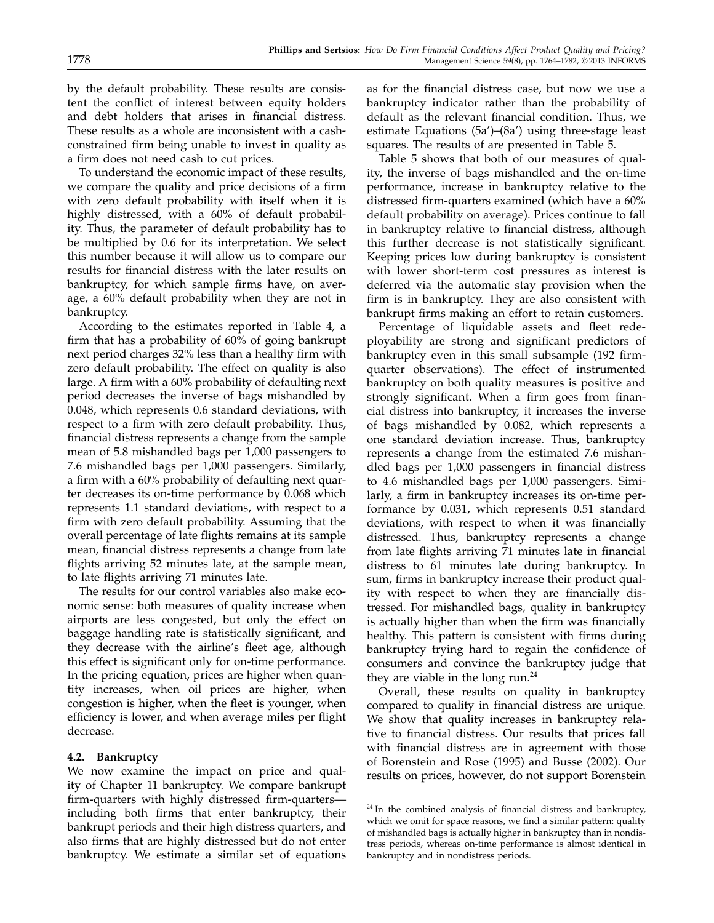tent the conflict of interest between equity holders and debt holders that arises in financial distress. These results as a whole are inconsistent with a cashconstrained firm being unable to invest in quality as a firm does not need cash to cut prices.

To understand the economic impact of these results, we compare the quality and price decisions of a firm with zero default probability with itself when it is highly distressed, with a 60% of default probability. Thus, the parameter of default probability has to be multiplied by 0.6 for its interpretation. We select this number because it will allow us to compare our results for financial distress with the later results on bankruptcy, for which sample firms have, on average, a 60% default probability when they are not in bankruptcy.

According to the estimates reported in Table 4, a firm that has a probability of 60% of going bankrupt next period charges 32% less than a healthy firm with zero default probability. The effect on quality is also large. A firm with a 60% probability of defaulting next period decreases the inverse of bags mishandled by 0.048, which represents 0.6 standard deviations, with respect to a firm with zero default probability. Thus, financial distress represents a change from the sample mean of 5.8 mishandled bags per 1,000 passengers to 7.6 mishandled bags per 1,000 passengers. Similarly, a firm with a 60% probability of defaulting next quarter decreases its on-time performance by 0.068 which represents 1.1 standard deviations, with respect to a firm with zero default probability. Assuming that the overall percentage of late flights remains at its sample mean, financial distress represents a change from late flights arriving 52 minutes late, at the sample mean, to late flights arriving 71 minutes late.

The results for our control variables also make economic sense: both measures of quality increase when airports are less congested, but only the effect on baggage handling rate is statistically significant, and they decrease with the airline's fleet age, although this effect is significant only for on-time performance. In the pricing equation, prices are higher when quantity increases, when oil prices are higher, when congestion is higher, when the fleet is younger, when efficiency is lower, and when average miles per flight decrease.

## 4.2. Bankruptcy

We now examine the impact on price and quality of Chapter 11 bankruptcy. We compare bankrupt firm-quarters with highly distressed firm-quarters including both firms that enter bankruptcy, their bankrupt periods and their high distress quarters, and also firms that are highly distressed but do not enter bankruptcy. We estimate a similar set of equations as for the financial distress case, but now we use a bankruptcy indicator rather than the probability of default as the relevant financial condition. Thus, we estimate Equations (5a')–(8a') using three-stage least squares. The results of are presented in Table 5.

Phillips and Sertsios: How Do Firm Financial Conditions Affect Product Quality and Pricing?

Table 5 shows that both of our measures of quality, the inverse of bags mishandled and the on-time performance, increase in bankruptcy relative to the distressed firm-quarters examined (which have a 60% default probability on average). Prices continue to fall in bankruptcy relative to financial distress, although this further decrease is not statistically significant. Keeping prices low during bankruptcy is consistent with lower short-term cost pressures as interest is deferred via the automatic stay provision when the firm is in bankruptcy. They are also consistent with bankrupt firms making an effort to retain customers.

Percentage of liquidable assets and fleet redeployability are strong and significant predictors of bankruptcy even in this small subsample (192 firmquarter observations). The effect of instrumented bankruptcy on both quality measures is positive and strongly significant. When a firm goes from financial distress into bankruptcy, it increases the inverse of bags mishandled by 0.082, which represents a one standard deviation increase. Thus, bankruptcy represents a change from the estimated 7.6 mishandled bags per 1,000 passengers in financial distress to 4.6 mishandled bags per 1,000 passengers. Similarly, a firm in bankruptcy increases its on-time performance by 0.031, which represents 0.51 standard deviations, with respect to when it was financially distressed. Thus, bankruptcy represents a change from late flights arriving 71 minutes late in financial distress to 61 minutes late during bankruptcy. In sum, firms in bankruptcy increase their product quality with respect to when they are financially distressed. For mishandled bags, quality in bankruptcy is actually higher than when the firm was financially healthy. This pattern is consistent with firms during bankruptcy trying hard to regain the confidence of consumers and convince the bankruptcy judge that they are viable in the long run.<sup>24</sup>

Overall, these results on quality in bankruptcy compared to quality in financial distress are unique. We show that quality increases in bankruptcy relative to financial distress. Our results that prices fall with financial distress are in agreement with those of Borenstein and Rose (1995) and Busse (2002). Our results on prices, however, do not support Borenstein

<sup>&</sup>lt;sup>24</sup> In the combined analysis of financial distress and bankruptcy, which we omit for space reasons, we find a similar pattern: quality of mishandled bags is actually higher in bankruptcy than in nondistress periods, whereas on-time performance is almost identical in bankruptcy and in nondistress periods.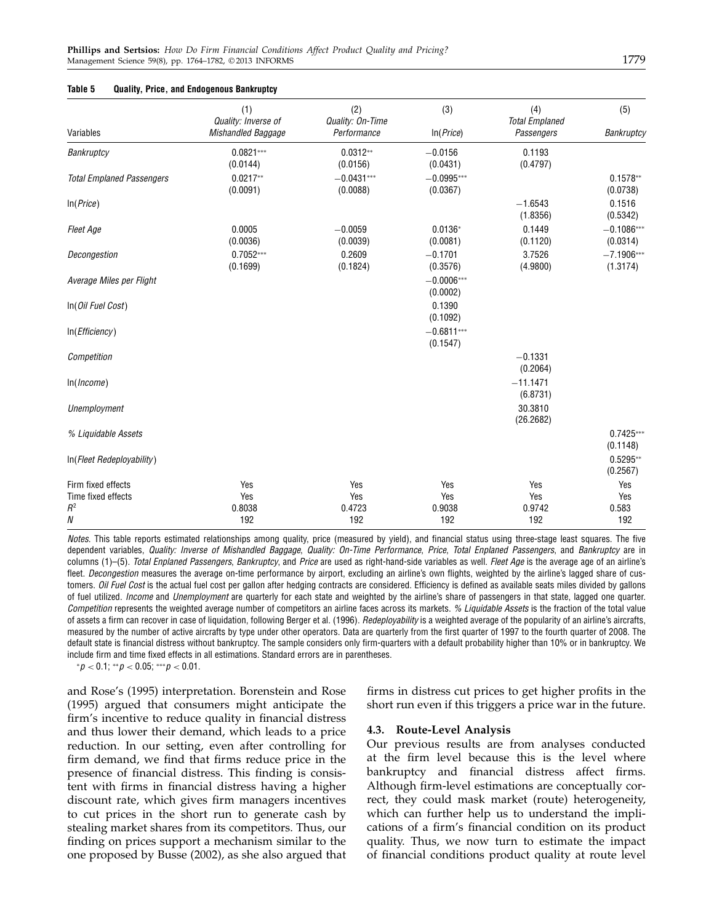Table 5 Quality, Price, and Endogenous Bankruptcy

| Variables                                              | (1)<br>Quality: Inverse of<br>Mishandled Baggage | (2)<br>Quality: On-Time<br>Performance | (3)<br>ln(Price)            | (4)<br><b>Total Emplaned</b><br>Passengers | (5)<br><b>Bankruptcy</b>   |
|--------------------------------------------------------|--------------------------------------------------|----------------------------------------|-----------------------------|--------------------------------------------|----------------------------|
|                                                        |                                                  |                                        |                             |                                            |                            |
| Bankruptcy                                             | $0.0821***$<br>(0.0144)                          | $0.0312**$<br>(0.0156)                 | $-0.0156$<br>(0.0431)       | 0.1193<br>(0.4797)                         |                            |
| <b>Total Emplaned Passengers</b>                       | $0.0217**$<br>(0.0091)                           | $-0.0431***$<br>(0.0088)               | $-0.0995***$<br>(0.0367)    |                                            | $0.1578**$<br>(0.0738)     |
| In(Price)                                              |                                                  |                                        |                             | $-1.6543$<br>(1.8356)                      | 0.1516<br>(0.5342)         |
| <b>Fleet Age</b>                                       | 0.0005<br>(0.0036)                               | $-0.0059$<br>(0.0039)                  | $0.0136*$<br>(0.0081)       | 0.1449<br>(0.1120)                         | $-0.1086***$<br>(0.0314)   |
| Decongestion                                           | $0.7052***$<br>(0.1699)                          | 0.2609<br>(0.1824)                     | $-0.1701$<br>(0.3576)       | 3.7526<br>(4.9800)                         | $-7.1906***$<br>(1.3174)   |
| Average Miles per Flight                               |                                                  |                                        | $-0.0006***$<br>(0.0002)    |                                            |                            |
| In(Oil Fuel Cost)                                      |                                                  |                                        | 0.1390<br>(0.1092)          |                                            |                            |
| In(Efficiency)                                         |                                                  |                                        | $-0.6811***$<br>(0.1547)    |                                            |                            |
| Competition                                            |                                                  |                                        |                             | $-0.1331$<br>(0.2064)                      |                            |
| ln(Income)                                             |                                                  |                                        |                             | $-11.1471$<br>(6.8731)                     |                            |
| Unemployment                                           |                                                  |                                        |                             | 30.3810<br>(26.2682)                       |                            |
| % Liquidable Assets                                    |                                                  |                                        |                             |                                            | $0.7425***$<br>(0.1148)    |
| In(Fleet Redeployability)                              |                                                  |                                        |                             |                                            | $0.5295**$<br>(0.2567)     |
| Firm fixed effects<br>Time fixed effects<br>$R^2$<br>N | Yes<br>Yes<br>0.8038<br>192                      | Yes<br>Yes<br>0.4723<br>192            | Yes<br>Yes<br>0.9038<br>192 | Yes<br>Yes<br>0.9742<br>192                | Yes<br>Yes<br>0.583<br>192 |

Notes. This table reports estimated relationships among quality, price (measured by yield), and financial status using three-stage least squares. The five dependent variables, Quality: Inverse of Mishandled Baggage, Quality: On-Time Performance, Price, Total Enplaned Passengers, and Bankruptcy are in columns (1)–(5). Total Enplaned Passengers, Bankruptcy, and Price are used as right-hand-side variables as well. Fleet Age is the average age of an airline's fleet. Decongestion measures the average on-time performance by airport, excluding an airline's own flights, weighted by the airline's lagged share of customers. Oil Fuel Cost is the actual fuel cost per gallon after hedging contracts are considered. Efficiency is defined as available seats miles divided by gallons of fuel utilized. Income and Unemployment are quarterly for each state and weighted by the airline's share of passengers in that state, lagged one quarter. Competition represents the weighted average number of competitors an airline faces across its markets. % Liquidable Assets is the fraction of the total value of assets a firm can recover in case of liquidation, following Berger et al. (1996). Redeployability is a weighted average of the popularity of an airline's aircrafts, measured by the number of active aircrafts by type under other operators. Data are quarterly from the first quarter of 1997 to the fourth quarter of 2008. The default state is financial distress without bankruptcy. The sample considers only firm-quarters with a default probability higher than 10% or in bankruptcy. We include firm and time fixed effects in all estimations. Standard errors are in parentheses.

 ${}^*p$  < 0.1;  ${}^{**}p$  < 0.05;  ${}^{***}p$  < 0.01.

and Rose's (1995) interpretation. Borenstein and Rose (1995) argued that consumers might anticipate the firm's incentive to reduce quality in financial distress and thus lower their demand, which leads to a price reduction. In our setting, even after controlling for firm demand, we find that firms reduce price in the presence of financial distress. This finding is consistent with firms in financial distress having a higher discount rate, which gives firm managers incentives to cut prices in the short run to generate cash by stealing market shares from its competitors. Thus, our finding on prices support a mechanism similar to the one proposed by Busse (2002), as she also argued that firms in distress cut prices to get higher profits in the short run even if this triggers a price war in the future.

#### 4.3. Route-Level Analysis

Our previous results are from analyses conducted at the firm level because this is the level where bankruptcy and financial distress affect firms. Although firm-level estimations are conceptually correct, they could mask market (route) heterogeneity, which can further help us to understand the implications of a firm's financial condition on its product quality. Thus, we now turn to estimate the impact of financial conditions product quality at route level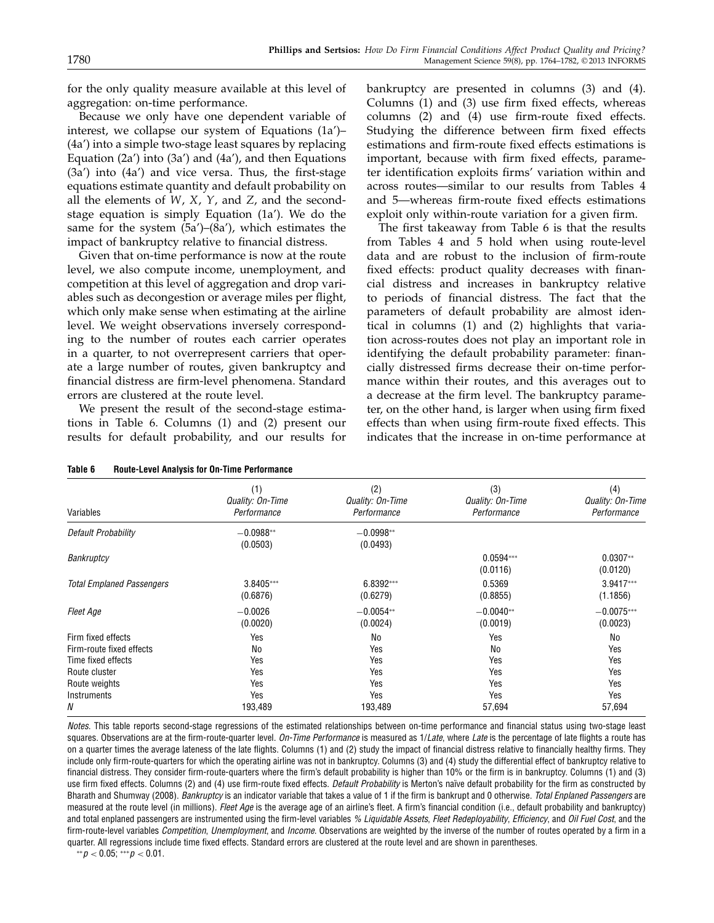for the only quality measure available at this level of aggregation: on-time performance.

Because we only have one dependent variable of interest, we collapse our system of Equations (1a')– (4a') into a simple two-stage least squares by replacing Equation (2a') into (3a') and (4a'), and then Equations (3a') into (4a') and vice versa. Thus, the first-stage equations estimate quantity and default probability on all the elements of  $W$ ,  $X$ ,  $Y$ , and  $Z$ , and the secondstage equation is simply Equation (1a'). We do the same for the system  $(5a')-(8a')$ , which estimates the impact of bankruptcy relative to financial distress.

Given that on-time performance is now at the route level, we also compute income, unemployment, and competition at this level of aggregation and drop variables such as decongestion or average miles per flight, which only make sense when estimating at the airline level. We weight observations inversely corresponding to the number of routes each carrier operates in a quarter, to not overrepresent carriers that operate a large number of routes, given bankruptcy and financial distress are firm-level phenomena. Standard errors are clustered at the route level.

We present the result of the second-stage estimations in Table 6. Columns (1) and (2) present our results for default probability, and our results for bankruptcy are presented in columns (3) and (4). Columns (1) and (3) use firm fixed effects, whereas columns (2) and (4) use firm-route fixed effects. Studying the difference between firm fixed effects estimations and firm-route fixed effects estimations is important, because with firm fixed effects, parameter identification exploits firms' variation within and across routes—similar to our results from Tables 4 and 5—whereas firm-route fixed effects estimations exploit only within-route variation for a given firm.

The first takeaway from Table 6 is that the results from Tables 4 and 5 hold when using route-level data and are robust to the inclusion of firm-route fixed effects: product quality decreases with financial distress and increases in bankruptcy relative to periods of financial distress. The fact that the parameters of default probability are almost identical in columns (1) and (2) highlights that variation across-routes does not play an important role in identifying the default probability parameter: financially distressed firms decrease their on-time performance within their routes, and this averages out to a decrease at the firm level. The bankruptcy parameter, on the other hand, is larger when using firm fixed effects than when using firm-route fixed effects. This indicates that the increase in on-time performance at

|                                  | (1)              | (2)              | (3)              | (4)              |
|----------------------------------|------------------|------------------|------------------|------------------|
|                                  | Quality: On-Time | Quality: On-Time | Quality: On-Time | Quality: On-Time |
| Variables                        | Performance      | Performance      | Performance      | Performance      |
| Default Probability              | $-0.0988**$      | $-0.0998**$      |                  |                  |
|                                  | (0.0503)         | (0.0493)         |                  |                  |
| <b>Bankruptcy</b>                |                  |                  | $0.0594***$      | $0.0307**$       |
|                                  |                  |                  | (0.0116)         | (0.0120)         |
| <b>Total Emplaned Passengers</b> | 3.8405***        | 6.8392***        | 0.5369           | $3.9417***$      |
|                                  | (0.6876)         | (0.6279)         | (0.8855)         | (1.1856)         |
| Fleet Age                        | $-0.0026$        | $-0.0054**$      | $-0.0040**$      | $-0.0075***$     |
|                                  | (0.0020)         | (0.0024)         | (0.0019)         | (0.0023)         |
| Firm fixed effects               | Yes              | No               | Yes              | No               |
| Firm-route fixed effects         | No               | Yes              | No               | Yes              |
| Time fixed effects               | Yes              | Yes              | Yes              | Yes              |
| Route cluster                    | Yes              | Yes              | Yes              | Yes              |
| Route weights                    | Yes              | Yes              | Yes              | Yes              |
| Instruments                      | Yes              | Yes              | Yes              | Yes              |
| Ν                                | 193,489          | 193,489          | 57,694           | 57,694           |

#### Table 6 Route-Level Analysis for On-Time Performance

 $* p$  < 0.05;  $* p$  < 0.01.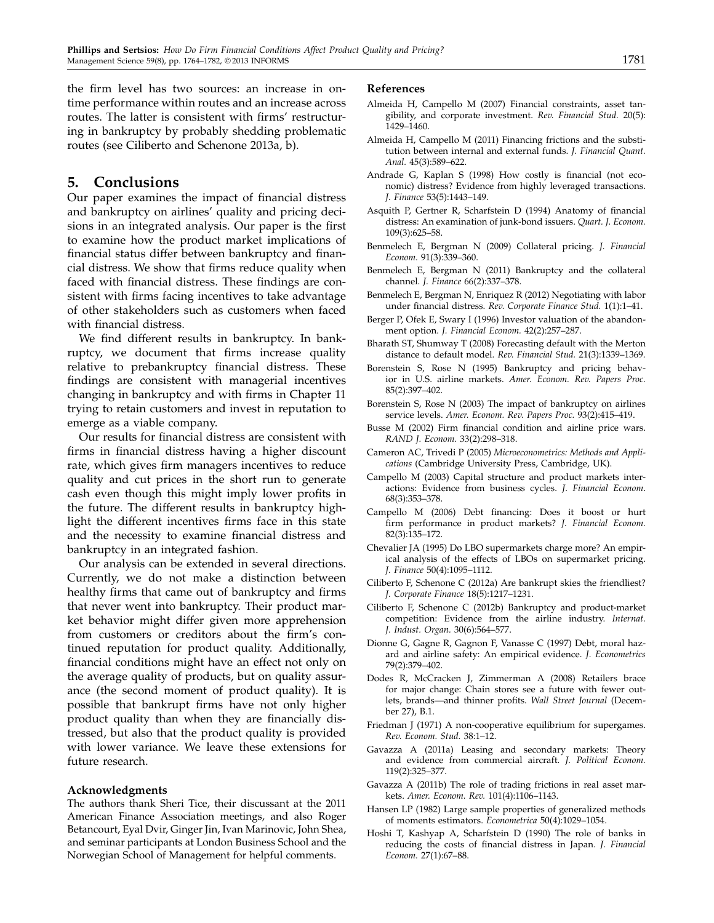the firm level has two sources: an increase in ontime performance within routes and an increase across routes. The latter is consistent with firms' restructuring in bankruptcy by probably shedding problematic routes (see Ciliberto and Schenone 2013a, b).

## 5. Conclusions

Our paper examines the impact of financial distress and bankruptcy on airlines' quality and pricing decisions in an integrated analysis. Our paper is the first to examine how the product market implications of financial status differ between bankruptcy and financial distress. We show that firms reduce quality when faced with financial distress. These findings are consistent with firms facing incentives to take advantage of other stakeholders such as customers when faced with financial distress.

We find different results in bankruptcy. In bankruptcy, we document that firms increase quality relative to prebankruptcy financial distress. These findings are consistent with managerial incentives changing in bankruptcy and with firms in Chapter 11 trying to retain customers and invest in reputation to emerge as a viable company.

Our results for financial distress are consistent with firms in financial distress having a higher discount rate, which gives firm managers incentives to reduce quality and cut prices in the short run to generate cash even though this might imply lower profits in the future. The different results in bankruptcy highlight the different incentives firms face in this state and the necessity to examine financial distress and bankruptcy in an integrated fashion.

Our analysis can be extended in several directions. Currently, we do not make a distinction between healthy firms that came out of bankruptcy and firms that never went into bankruptcy. Their product market behavior might differ given more apprehension from customers or creditors about the firm's continued reputation for product quality. Additionally, financial conditions might have an effect not only on the average quality of products, but on quality assurance (the second moment of product quality). It is possible that bankrupt firms have not only higher product quality than when they are financially distressed, but also that the product quality is provided with lower variance. We leave these extensions for future research.

#### Acknowledgments

The authors thank Sheri Tice, their discussant at the 2011 American Finance Association meetings, and also Roger Betancourt, Eyal Dvir, Ginger Jin, Ivan Marinovic, John Shea, and seminar participants at London Business School and the Norwegian School of Management for helpful comments.

#### References

- Almeida H, Campello M (2007) Financial constraints, asset tangibility, and corporate investment. Rev. Financial Stud. 20(5): 1429–1460.
- Almeida H, Campello M (2011) Financing frictions and the substitution between internal and external funds. J. Financial Quant. Anal. 45(3):589–622.
- Andrade G, Kaplan S (1998) How costly is financial (not economic) distress? Evidence from highly leveraged transactions. J. Finance 53(5):1443–149.
- Asquith P, Gertner R, Scharfstein D (1994) Anatomy of financial distress: An examination of junk-bond issuers. Quart. J. Econom. 109(3):625–58.
- Benmelech E, Bergman N (2009) Collateral pricing. J. Financial Econom. 91(3):339–360.
- Benmelech E, Bergman N (2011) Bankruptcy and the collateral channel. J. Finance 66(2):337–378.
- Benmelech E, Bergman N, Enriquez R (2012) Negotiating with labor under financial distress. Rev. Corporate Finance Stud. 1(1):1–41.
- Berger P, Ofek E, Swary I (1996) Investor valuation of the abandonment option. J. Financial Econom. 42(2):257–287.
- Bharath ST, Shumway T (2008) Forecasting default with the Merton distance to default model. Rev. Financial Stud. 21(3):1339–1369.
- Borenstein S, Rose N (1995) Bankruptcy and pricing behavior in U.S. airline markets. Amer. Econom. Rev. Papers Proc. 85(2):397–402.
- Borenstein S, Rose N (2003) The impact of bankruptcy on airlines service levels. Amer. Econom. Rev. Papers Proc. 93(2):415–419.
- Busse M (2002) Firm financial condition and airline price wars. RAND J. Econom. 33(2):298–318.
- Cameron AC, Trivedi P (2005) Microeconometrics: Methods and Applications (Cambridge University Press, Cambridge, UK).
- Campello M (2003) Capital structure and product markets interactions: Evidence from business cycles. J. Financial Econom. 68(3):353–378.
- Campello M (2006) Debt financing: Does it boost or hurt firm performance in product markets? J. Financial Econom. 82(3):135–172.
- Chevalier JA (1995) Do LBO supermarkets charge more? An empirical analysis of the effects of LBOs on supermarket pricing. J. Finance 50(4):1095–1112.
- Ciliberto F, Schenone C (2012a) Are bankrupt skies the friendliest? J. Corporate Finance 18(5):1217–1231.
- Ciliberto F, Schenone C (2012b) Bankruptcy and product-market competition: Evidence from the airline industry. Internat. J. Indust. Organ. 30(6):564–577.
- Dionne G, Gagne R, Gagnon F, Vanasse C (1997) Debt, moral hazard and airline safety: An empirical evidence. J. Econometrics 79(2):379–402.
- Dodes R, McCracken J, Zimmerman A (2008) Retailers brace for major change: Chain stores see a future with fewer outlets, brands—and thinner profits. Wall Street Journal (December 27), B.1.
- Friedman J (1971) A non-cooperative equilibrium for supergames. Rev. Econom. Stud. 38:1–12.
- Gavazza A (2011a) Leasing and secondary markets: Theory and evidence from commercial aircraft. J. Political Econom. 119(2):325–377.
- Gavazza A (2011b) The role of trading frictions in real asset markets. Amer. Econom. Rev. 101(4):1106–1143.
- Hansen LP (1982) Large sample properties of generalized methods of moments estimators. Econometrica 50(4):1029–1054.
- Hoshi T, Kashyap A, Scharfstein D (1990) The role of banks in reducing the costs of financial distress in Japan. J. Financial Econom. 27(1):67–88.